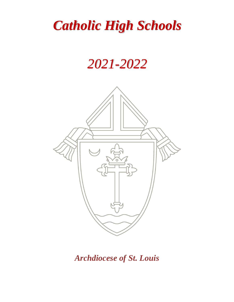# *Catholic High Schools*

# *2021-2022*



*Archdiocese of St. Louis*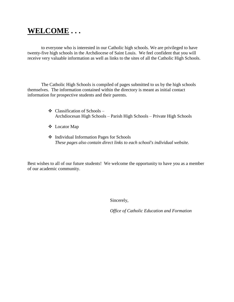## **WELCOME . . .**

to everyone who is interested in our Catholic high schools. We are privileged to have twenty-five high schools in the Archdiocese of Saint Louis. We feel confident that you will receive very valuable information as well as links to the sites of all the Catholic High Schools.

The Catholic High Schools is compiled of pages submitted to us by the high schools themselves. The information contained within the directory is meant as initial contact information for prospective students and their parents.

- $\triangleleft$  Classification of Schools Archdiocesan High Schools – Parish High Schools – Private High Schools
- Locator Map
- Individual Information Pages for Schools *These pages also contain direct links to each school's individual website.*

Best wishes to all of our future students! We welcome the opportunity to have you as a member of our academic community.

Sincerely,

*Office of Catholic Education and Formation*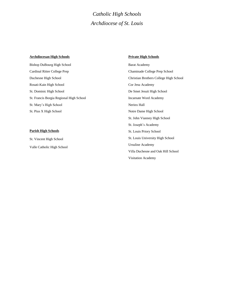## *Catholic High Schools Archdiocese of St. Louis*

#### **Archdiocesan High Schools**

Bishop DuBourg High School Cardinal Ritter College Prep Duchesne High School Rosati-Kain High School St. Dominic High School St. Francis Borgia Regional High School St. Mary's High School St. Pius X High School

#### **Parish High Schools**

St. Vincent High School Valle Catholic High School

#### **Private High Schools**

Barat Academy Chaminade College Prep School Christian Brothers College High School Cor Jesu Academy De Smet Jesuit High School Incarnate Word Academy Nerinx Hall Notre Dame High School St. John Vianney High School St. Joseph's Academy St. Louis Priory School St. Louis University High School Ursuline Academy Villa Duchesne and Oak Hill School Visitation Academy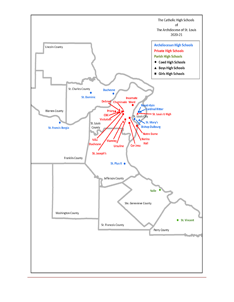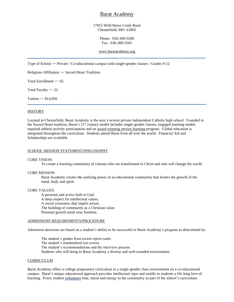### Barat Academy

#### 17815 Wild Horse Creek Road Chesterfield, MO 63005

#### Phone: 636-300-5500 Fax: 636-300-5501

#### [www.baratacademy.org](http://www.baratacademy.org/)

Type of School ~~ Private / Co-educational campus with single-gender classes / Grades 9-12

Religious Affiliation ~~ Sacred Heart Tradition

Total Enrollment  $\sim$  65

Total Faculty ~~ 22

Tuition  $\sim$  \$14,950

#### **HISTORY**

Located in Chesterfield, Barat Academy is the area's newest private independent Catholic high school. Founded in the Sacred Heart tradition, Barat's 21st century model includes single-gender classes, engaged learning model, required athletic/activity participation and an award winning service learning program. Global education is integrated throughout the curriculum. Students attend Barat from all over the world. Financial Aid and Scholarships are available.

#### SCHOOL MISSION STATEMENT/PHILOSOPHY

#### CORE VISION:

To create a learning community of citizens who are transformed in Christ and who will change the world.

#### CORE MISSION:

Barat Academy creates the unifying power of an educational community that fosters the growth of the mind, body and spirit.

#### CORE VALUES:

A personal and active faith in God. A deep respect for intellectual values. A social awareness that impels action. The building of community as a Christian value. Personal growth amid wise freedom.

#### ADMISSIONS REQUIREMENTS/PROCEDURE

Admission decisions are based on a student's ability to be successful in Barat Academy's program as determined by:

The student's grades from recent report cards. The student's standardized test scores. The student's recommendations and the interview process. Students who will bring to Barat Academy a diverse and well-rounded environment.

#### CURRICULUM

Barat Academy offers a college preparatory curriculum in a single-gender class environment on a co-educational campus. Barat's unique educational approach provides intellectual rigor and instills in students a life-long love of learning. Every student volunteers time, talent and energy to the community as part of the school's curriculum.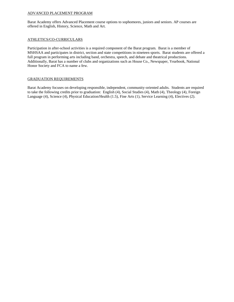#### ADVANCED PLACEMENT PROGRAM

Barat Academy offers Advanced Placement course options to sophomores, juniors and seniors. AP courses are offered in English, History, Science, Math and Art.

#### ATHLETICS/CO-CURRICULARS

Participation in after-school activities is a required component of the Barat program. Barat is a member of MSHSAA and participates in district, section and state competitions in nineteen sports. Barat students are offered a full program in performing arts including band, orchestra, speech, and debate and theatrical productions. Additionally, Barat has a number of clubs and organizations such as House Co., Newspaper, Yearbook, National Honor Society and FCA to name a few.

#### GRADUATION REQUIREMENTS

Barat Academy focuses on developing responsible, independent, community-oriented adults. Students are required to take the following credits prior to graduation: English (4), Social Studies (4), Math (4), Theology (4), Foreign Language (4), Science (4), Physical Education/Health (1.5), Fine Arts (1), Service Learning (4), Electives (2).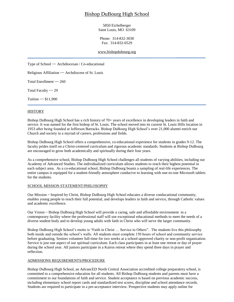## Bishop DuBourg High School

5850 Eichelberger Saint Louis, MO 63109

Phone: 314-832-3030 Fax: 314-832-0529

#### [www.bishopdubourg.org](http://www.bishopdubourg.org/)

Type of School ~~ Archdiocesan / Co-educational

Religious Affiliation ~~ Archdiocese of St. Louis

Total Enrollment ~~ 260

Total Faculty ~~ 29

Tuition  $\sim$  \$11,900

#### **HISTORY**

Bishop DuBourg High School has a rich history of 70+ years of excellence in developing leaders in faith and service. It was named for the first bishop of St. Louis. The school moved into its current St. Louis Hills location in 1953 after being founded at Jefferson Barracks. Bishop DuBourg High School's over 21,000 alumni enrich our Church and society in a myriad of careers, professions and fields.

Bishop DuBourg High School offers a comprehensive, co-educational experience for students in grades 9-12. The faculty prides itself on a Christ-centered curriculum and rigorous academic standards. Students at Bishop DuBourg are encouraged to grow both academically and spiritually during their four years.

As a comprehensive school, Bishop DuBourg High School challenges all students of varying abilities, including our Academy of Advanced Studies. The individualized curriculum allows students to reach their highest potential in each subject area. As a co-educational school, Bishop DuBourg boasts a sampling of real-life experiences. The entire campus is equipped for a student-friendly atmosphere conducive to learning with one-to-one Microsoft tablets for the students.

#### SCHOOL MISSION STATEMENT/PHILOSOPHY

Our Mission ~ Inspired by Christ, Bishop DuBourg High School educates a diverse coeducational community, enables young people to reach their full potential, and develops leaders in faith and service, through Catholic values and academic excellence.

Our Vision ~ Bishop DuBourg High School will provide a caring, safe and affordable environment in a contemporary facility where the professional staff will use exceptional educational methods to meet the needs of a diverse student body and to develop young adults with faith in Christ who will serve the larger community.

Bishop DuBourg High School's motto is "Faith in Christ … Service to Others". The students live this philosophy both inside and outside the school's walls. All students must complete 150 hours of school and community service before graduating. Seniors volunteer full-time for two weeks at a school-approved charity or non-profit organization. Service is just one aspect of our spiritual curriculum. Each class participates in at least one retreat or day of prayer during the school year. All juniors participate in a Kairos retreat where they spend three days in prayer and reflection.

#### ADMISSIONS REQUIREMENTS/PROCEDURE

Bishop DuBourg High School, an AdvancED North Central Association accredited college preparatory school, is committed to a comprehensive education for all students. All Bishop DuBourg students and parents must have a commitment to our foundations of faith and service. Student acceptance is based on previous academic success, including elementary school report cards and standardized test scores, discipline and school attendance records. Students are required to participate in a pre-acceptance interview. Prospective students may apply online for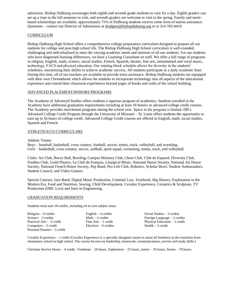admission. Bishop DuBourg encourages both eighth and seventh grade students to visit for a day. Eighth graders can set up a time in the fall semester to visit, and seventh graders are welcome to visit in the spring. Family and meritbased scholarships are available; approximately 75% of DuBourg students receive some form of tuition assistance. Questions – contact our Director of Admissions at [drodgers@bishopdubourg.org](mailto:drodgers@bishopdubourg.org) or at 314-783-4419.

#### CURRICULUM

Bishop DuBourg High School offers a comprehensive college preparatory curriculum designed to prepare all our students for college and post-high school life. The Bishop DuBourg High School curriculum is well-rounded, challenging and individualized to meet the varying academic needs and interests of all our students. For our students who have diagnosed learning differences, we have a Learning Consultant on staff. We offer a full range of programs in religion, English, math, science, social studies, French, Spanish, theater, fine arts, instrumental and vocal music, technology, FACS and physical education. Our rotating block schedule allows for diversity in the students' schedules, maximizing their ability to achieve academic success. All students participate in a daily academic hour. During this time, all of our teachers are available to provide extra assistance. Bishop DuBourg students are equipped with their own Chromebook which allows the students to incorporate technology into all aspects of the educational experience and extend their classroom experiences beyond pages of books and walls of the school building.

#### ADVANCED PLACEMENT/HONORS PROGRAMS

The Academy of Advanced Studies offers students a rigorous program of academics. Students enrolled in the Academy have additional graduation requirements including at least 18 honors or advanced college credit courses. The Academy provides enrichment programs during the school year. Space in the program is limited. DB's Advanced College Credit Program through the University of Missouri – St. Louis offers students the opportunity to earn up to 56 hours of college credit. Advanced College Credit courses are offered in English, math, social studies, Spanish and French.

#### ATHLETICS/CO-CURRICULARS

Athletic Teams:

Boys – baseball, basketball, cross country, football, soccer, tennis, track, volleyball, and wrestling. Girls – basketball, cross country, soccer, softball, spirit squad, swimming, tennis, track, and volleyball.

Clubs: Art Club, Bocce Ball, Bowling, Campus Ministry Club, Chess Club, Club de Espanol, Diversity Club, Foodies Club, Guild Players, Le Club de Français, Liturgical Music, National Honor Society, National Art Honor Society, National French Honor Society, Pep Band, Pro-Life Club, Robotics, Scholar Bowl, Student Ambassadors, Student Council, and Video Gamers.

Special Courses: Jazz Band, Digital Music Production, Criminal Law, Yearbook, Big History, Exploration in the Modern Era, Food and Nutrition, Sewing, Child Development, Cavalier Experience, Ceramics & Sculpture, TV Production (DBC Live) and Intro to Engineering.

#### GRADUATION REQUIREMENTS

Students must earn 30 credits, including 24 in core subject areas.

| Religion $-4$ credits       | English $-4$ credits    | Social Studies $-3$ credits    |
|-----------------------------|-------------------------|--------------------------------|
| Science $-3$ credits        | Math $-3$ credits       | Foreign Language $-2$ credits  |
| Practical Arts – .5 credit  | Fine $Arts - 1$ credit  | Physical Education $-1$ credit |
| Computers - .5 credit       | $Electives - 6$ credits | Health - .5 credit             |
| Personal Finance - 5 credit |                         |                                |

Cavalier Experience – 1 credit (Cavalier Experience is a specially designed course to assist all freshmen in the transition from elementary school to high school. The course focuses on leadership, teamwork, communications, service and study skills.)

Christian Service Hours - .4 credit: Freshman – 20 hours, Sophomore – 25 hours, Junior – 35 hours, Senior – 70 hours.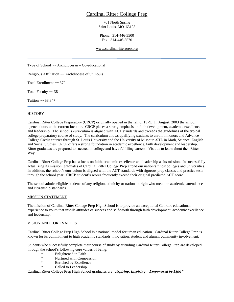## Cardinal Ritter College Prep

701 North Spring Saint Louis, MO 63108

Phone: 314-446-5500 Fax: 314-446-5570

#### [www.cardinalritterprep.org](http://www.cardinalritterprep.org/)

Type of School  $\sim \text{Archidicesan} - \text{Co-educational}$ 

Religious Affiliation ~~ Archdiocese of St. Louis

Total Enrollment ~~ 379

Total Faculty ~~ 38

Tuition  $\sim$  \$8,847

#### **HISTORY**

Cardinal Ritter College Preparatory (CRCP) originally opened in the fall of 1979. In August, 2003 the school opened doors at the current location. CRCP places a strong emphasis on faith development, academic excellence and leadership. The school's curriculum is aligned with ACT standards and exceeds the guidelines of the typical college preparatory course of study. The curriculum allows qualifying students to enroll in honors and Advance College Credit courses through St. Louis University and the University of Missouri-STL in Math, Science, English and Social Studies. CRCP offers a strong foundation in academic excellence, faith development and leadership. Ritter graduates are prepared to succeed in college and have fulfilling careers. Visit us to learn about the "Ritter Way."

Cardinal Ritter College Prep has a focus on faith, academic excellence and leadership as its mission. In successfully actualizing its mission, graduates of Cardinal Ritter College Prep attend our nation's finest colleges and universities. In addition, the school's curriculum is aligned with the ACT standards with rigorous prep classes and practice tests through the school year. CRCP student's scores frequently exceed their original predicted ACT score.

The school admits eligible students of any religion, ethnicity or national origin who meet the academic, attendance and citizenship standards.

#### MISSION STATEMENT

The mission of Cardinal Ritter College Prep High School is to provide an exceptional Catholic educational experience to youth that instills attitudes of success and self-worth through faith development, academic excellence and leadership.

#### VISION AND CORE VALUES

Cardinal Ritter College Prep High School is a national model for urban education. Cardinal Ritter College Prep is known for its commitment to high academic standards, innovation, student and alumni community involvement.

Students who successfully complete their course of study by attending Cardinal Ritter College Prep are developed through the school's following core values of being:

- **Enlightened in Faith**
- \* Nurtured with Compassion<br>
\* Friehod by Excellence
- \* Enriched by Excellence<br>  $\frac{1}{2}$  Called to Leadership
- Called to Leadership

Cardinal Ritter College Prep High School graduates are *"Aspiring, Inspiring – Empowered by Life!"*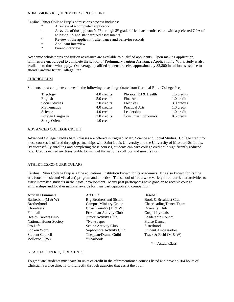#### ADMISSIONS REQUIREMENTS/PROCEDURE

Cardinal Ritter College Prep's admissions process includes:

- A review of a completed application
	- \* A review of the applicant's 6<sup>th</sup> through 8<sup>th</sup> grade official academic record with a preferred GPA of at least a 2.5 and standardized assessments
	- \* Review of the applicant's attendance and behavior records<br>\* Applicant interview
	- \* Applicant interview
	- Parent interview

Academic scholarships and tuition assistance are available to qualified applicants. Upon making application, families are encouraged to complete the school's "Preliminary Tuition Assistance Application". Work study is also available to those who apply. On average, qualified students receive approximately \$2,800 in tuition assistance to attend Cardinal Ritter College Prep.

#### **CURRICULUM**

Students must complete courses in the following areas to graduate from Cardinal Ritter College Prep:

| Theology                                     | 4.0 credits               | Physical Ed & Health      | 1.5 credits  |
|----------------------------------------------|---------------------------|---------------------------|--------------|
| English                                      | 5.0 credits               | Fine Arts                 | 1.0 credit   |
| <b>Social Studies</b>                        | 3.0 credits               | Electives                 | 3.0 credits  |
| Mathematics                                  | 4.0 credits               | <b>Practical Arts</b>     | 1.0 credit   |
| Science                                      | 4.0 credits               | Leadership                | 1.0 credit   |
| Foreign Language<br><b>Study Orientation</b> | 2.0 credits<br>1.0 credit | <b>Consumer Economics</b> | $0.5$ credit |

#### ADVANCED COLLEGE CREDIT

Advanced College Credit (ACC) classes are offered in English, Math, Science and Social Studies. College credit for these courses is offered through partnerships with Saint Louis University and the University of Missouri-St. Louis. By successfully enrolling and completing these courses, students can earn college credit at a significantly reduced rate. Credits earned are transferable to many of the nation's colleges and universities.

#### ATHLETICS/CO-CURRICULARS

Cardinal Ritter College Prep is a fine educational institution known for its academics. It is also known for its fine arts (vocal music and visual art) program and athletics. The school offers a wide variety of co-curricular activities to assist interested students in their total development. Many past participants have gone on to receive college scholarships and local & national awards for their participation and competition.

Volleyball (W) \*Yearbook

African Drummers Art Club Baseball<br>Basketball (M & W) Big Brothers and Sisters Book & 1 Big Brothers and Sisters Book & Breakfast Club Choraleers Cross Country (M & W) Diversity Club Football Freshman Activity Club Gospel Lyricals Health Careers Club Junior Activity Club Leadership Council National Honor Society \*Newspaper Praise Dancer Pro-Life Senior Activity Club Sisterhood Spoken Word Sophomore Activity Club Student Ambassadors Student Council Thespian/Drama Guild Track & Field (M & W)

Brotherhood Campus Ministry Group Cheerleading/Dance Team

 $* =$  Actual Class

#### GRADUATION REQUIREMENTS

To graduate, students must earn 30 units of credit in the aforementioned courses listed and provide 104 hours of Christian Service directly or indirectly through agencies that assist the poor.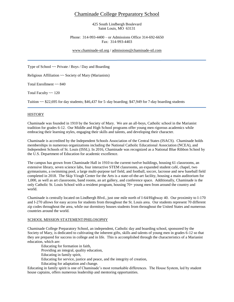## Chaminade College Preparatory School

425 South Lindbergh Boulevard Saint Louis, MO 63131

Phone: 314-993-4400 – or Admissions Office 314-692-6650 Fax: 314-993-4403

[www.chaminade-stl.org](http://www.chaminade-stl.org/) / [admissions@chaminade-stl.com](mailto:admissions@chaminade-stl.com)

Type of School  $\sim$  Private / Boys / Day and Boarding

Religious Affiliation ~~ Society of Mary (Marianists)

Total Enrollment ~~ 840

Total Faculty ~~ 120

Tuition  $\sim$  \$22,695 for day students; \$46,437 for 5–day boarding; \$47,949 for 7-day boarding students

#### HISTORY

Chaminade was founded in 1910 by the Society of Mary. We are an all-boys, Catholic school in the Marianist tradition for grades 6-12. Our Middle and High School programs offer young men rigorous academics while embracing their learning styles, engaging their skills and talents, and developing their character.

Chaminade is accredited by the Independent Schools Association of the Central States (ISACS). Chaminade holds memberships in numerous organizations including the National Catholic Educational Association (NCEA), and Independent Schools of St. Louis (ISSL). In 2016, Chaminade was recognized as a National Blue Ribbon School by the U.S. Department of Education for academic excellence.

The campus has grown from Chaminade Hall in 1910 to the current twelve buildings, housing 61 classrooms, an extensive library, seven science labs, four interactive STEM classrooms, an expanded student café, chapel, two gymnasiums, a swimming pool, a large multi-purpose turf field, and football, soccer, lacrosse and new baseball field completed in 2018. The Skip Viragh Center for the Arts is a state-of-the-art facility, housing a main auditorium for 1,000, as well as art classrooms, band rooms, an art gallery, and conference space. Additionally, Chaminade is the only Catholic St. Louis School with a resident program, housing 70+ young men from around the country and world.

Chaminade is centrally located on Lindbergh Blvd., just one mile north of I-64/Highway 40. Our proximity to I-170 and I-270 allows for easy access for students from throughout the St. Louis area. Our students represent 70 different zip codes throughout the area, while our dormitory houses students from throughout the United States and numerous countries around the world.

#### SCHOOL MISSION STATEMENT/PHILOSOPHY

Chaminade College Preparatory School, an independent, Catholic day and boarding school, sponsored by the Society of Mary, is dedicated to cultivating the inherent gifts, skills and talents of young men in grades 6-12 so that they are prepared for success in college and in life. This is accomplished through the characteristics of a Marianist education, which are:

Educating for formation in faith,

Providing an integral, quality education,

Educating in family spirit,

Educating for service, justice and peace, and the integrity of creation,

Educating for adaptation and change.

Educating in family spirit is one of Chaminade's most remarkable differences. The House System, led by student house captains, offers numerous leadership and mentoring opportunities.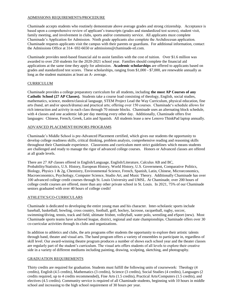#### ADMISSIONS REQUIREMENTS/PROCEDURE

Chaminade accepts students who routinely demonstrate above average grades and strong citizenship. Acceptance is based upon a comprehensive review of applicant's transcripts (grades and standardized test scores), student visit, family meeting, and involvement in clubs, sports and/or community service. All applicants must complete Chaminade's Application for Admission. Ninth grade applicants also complete the Archdiocesan application. Chaminade requests applicants visit the campus with their parents or guardians. For additional information, contact the Admissions Office at 314- 692-6650 or admissions@chaminade-stl.com.

Chaminade provides need-based financial aid to assist families with the cost of tuition. Over \$1.6 million was awarded to over 250 students for the 2020-2021 school year. Families should complete the financial aid applications at the same time they apply for admission. **Academic scholarships** are offered to applicants based on grades and standardized test scores. These scholarships, ranging from \$1,000 - \$7,000, are renewable annually as long as the student maintains at least an A- average.

#### CURRICULUM

Chaminade provides a college preparatory curriculum for all students, including **the most AP Courses of any Catholic School (27 AP Classes).** Students take a course load consisting of theology, English, social studies, mathematics, science, modern/classical language, STEM Project Lead the Way Curriculum, physical education, fine arts (band, art and/or speech/drama) and practical arts; offering over 150 courses. Chaminade's schedule allows for rich interaction and activity in each class through 70 minute blocks. Chaminade uses an alternating block schedule, with 4 classes and one academic lab per day meeting every other day. Additionally, Chaminade offers five languages: Chinese, French, Greek, Latin and Spanish. All students lease a new Lenovo ThinkPad laptop annually.

#### ADVANCED PLACEMENT/HONORS PROGRAMS

Chaminade's Middle School is pre-Advanced Placement certified, which gives our students the opportunity to develop college readiness skills, critical thinking, problem analysis, comprehensive reading and reasoning skills throughout their Chaminade experience. Classrooms and curriculum meet strict guidelines which means students are challenged and ready to manage the rigor of advanced college courses. Honors or Advanced classes are offered at all grade levels.

There are 27 AP classes offered in English/Language, English/Literature, Calculus AB and BC, Probability/Statistics, U.S. History, European History, World History, U.S. Government, Comparative Politics, Biology, Physics 1 & 2g, Chemistry, Environmental Science, French, Spanish, Latin, Chinese, Microeconomics, Macroeconomics, Psychology, Computer Science, Studio Art, and Music Theory. Additionally Chaminade has over 100 advanced college credit courses through St. Louis University and UMSL. At Chaminade, over 200 hours of college credit courses are offered, more than any other private school in St. Louis. In 2021, 75% of our Chaminade seniors graduated with over 40 hours of college credit!

#### ATHLETICS/CO-CURRICULARS

Chaminade is dedicated to developing the entire young man and his character. Inter-scholastic sports include baseball, basketball, bowling, cross country, football, golf, hockey, lacrosse, racquetball, rugby, soccer, swimming/diving, tennis, track and field, ultimate frisbee, volleyball, water polo, wrestling and eSport (new). Most Chaminade sports teams have achieved league, district, regional and state championships. Chaminade offers over 30 co-curricular activities through its clubs and organizations.

In addition to athletics and clubs, the arts programs offer students the opportunity to explore their artistic talents through band, theater and visual arts. The band program offers a variety of ensembles to participate in, regardless of skill level. Our award-winning theatre program produces a number of shows each school year and the theater classes are regularly part of the student's curriculum. The visual arts offers students of all levels to explore their creative side in a variety of different mediums including painting, drawing, sculpting, sketching, and photography.

#### GRADUATION REQUIREMENTS

Thirty credits are required for graduation. Students must fulfill the following units of coursework: Theology (4 credits), English (4.5 credits), Mathematics (3 credits), Science (3 credits), Social Studies (4 credits), Languages (2 credits required, up to 4 credits recommended), Fine Arts (1.5 credits), Practical Arts/Computers (1.5 credits), and electives (4.5 credits). Community service is required of all Chaminade students, beginning with 10 hours in middle school and increasing to the high school requirement of 30 hours per year.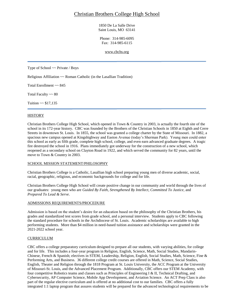## Christian Brothers College High School

1850 De La Salle Drive Saint Louis, MO 63141

Phone: 314-985-6095 Fax: 314-985-6115

[www.cbchs.org](http://www.cbchs.org/)

Type of School ~~ Private / Boys

Religious Affiliation ~~ Roman Catholic (in the Lasallian Tradition)

Total Enrollment ~~ 845

Total Faculty  $\sim 80$ 

Tuition  $\sim$  \$17,135

#### **HISTORY**

Christian Brothers College High School, which opened in Town & Country in 2003, is actually the fourth site of the school in its 172-year history. CBC was founded by the Brothers of the Christian Schools in 1850 at Eighth and Cerre Streets in downtown St. Louis. In 1855, the school was granted a college charter by the State of Missouri. In 1882, a spacious new campus opened at Kingshighway and Easton Avenue (today's Sherman Park). Young men could enter this school as early as fifth grade, complete high school, college, and even earn advanced graduate degrees. A tragic fire destroyed the school in 1916. Plans immediately got underway for the construction of a new school, which reopened as a secondary school on Clayton Road in 1922, and which served the community for 82 years, until the move to Town & Country in 2003.

#### SCHOOL MISSION STATEMENT/PHILOSOPHY

Christian Brothers College is a Catholic, Lasallian high school preparing young men of diverse academic, social, racial, geographic, religious, and economic backgrounds for college and for life.

Christian Brothers College High School will create positive change in our community and world through the lives of our graduates: young men who are *Guided By Faith*, *Strengthened By Intellect*, *Committed To Justice*, and *Prepared To Lead & Serve*.

#### ADMISSIONS REQUIREMENTS/PROCEDURE

Admission is based on the student's desire for an education based on the philosophy of the Christian Brothers, his grades and standardized test scores from grade school, and a personal interview. Students apply to CBC following the standard procedure for schools in the Archdiocese of St. Louis. Academic scholarships are available to high performing students. More than \$4 million in need-based tuition assistance and scholarships were granted in the 2021-2022 school year.

#### **CURRICULUM**

CBC offers a college preparatory curriculum designed to prepare all our students, with varying abilities, for college and for life. This includes a four-year program in Religion, English, Science, Math, Social Studies, Mandarin-Chinese, French & Spanish; electives in STEM, Leadership, Religion, English, Social Studies, Math, Science, Fine & Performing Arts, and Business. 36 different college credit courses are offered in Math, Science, Social Studies, English, Theater and Religion through the 1818 Program at St. Louis University, the ACC Program at the University of Missouri-St. Louis, and the Advanced Placement Program. Additionally, CBC offers our STEM Academy, with four competitive Robotics teams and classes such as Principles of Engineering I & II, Technical Drafting, and Cybersecurity, AP Computer Science, Mobile App Development, and Aviation Science. An ACT Prep Class is also part of the regular elective curriculum and is offered at no additional cost to our families. CBC offers a fully integrated 1:1 laptop program that assures students will be prepared for the advanced technological requirements to be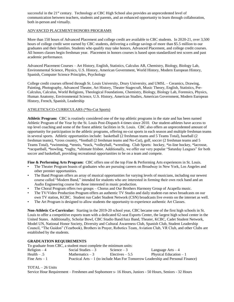successful in the 21<sup>st</sup> century. Technology at CBC High School also provides an unprecedented level of communication between teachers, students and parents, and an enhanced opportunity to learn through collaboration, both in-person and virtually.

#### ADVANCED PLACEMENT/HONORS PROGRAMS

More than 150 hours of Advanced Placement and college credit are available to CBC students. In 2020-21, over 3,500 hours of college credit were earned by CBC students, delivering a college savings of more than \$5.5 million to our graduates and their families. Students who qualify may take honors, Advanced Placement, and college credit courses. All honors classes begin freshman year. Placement in honors courses is based upon standardized test scores and past academic performance.

Advanced Placement Courses – Art History, English, Statistics, Calculus AB, Chemistry, Biology, Biology Lab, Environmental Science, Physics, U.S. History, American Government, World History, Modern European History, Spanish, Computer Science Principles, Psychology

College credit courses offered through St. Louis University, Drury University, and UMSL – Ceramics, Drawing, Painting, Photography, Advanced Theater, Art History, Theater Stagecraft, Music Theory, English, Statistics, Pre-Calculus, Calculus, World Religions, Theological Foundations, Chemistry, Biology, Biology Lab, Forensics, Physics, Human Anatomy, Environmental Science, U.S. History, American Studies, American Government, Modern European History, French, Spanish, Leadership

#### ATHLETICS/CO-CURRICULARS (\*No-Cut Sports)

**Athletic Program:** CBC is routinely considered one of the top athletic programs in the state and has been named Athletic Program of the Year by the St. Louis Post-Dispatch 4 times since 2010. Our student-athletes have access to top level coaching and some of the finest athletic facilities in St. Louis. CBC also offers an unprecedented amount of opportunity for participation in the athletic programs, offering no-cut sports in each season and multiple freshman teams in several sports. Athletic opportunities include: basketball (2 freshman teams and 5 Teams Total), baseball (2 freshman teams), \*cross country, \*football (2 freshman teams and No-Cut), golf, soccer (2 freshman teams and 5 Teams Total), \*swimming, \*tennis, \*track, \*volleyball, \*wrestling. Club Sports: hockey, \*in-line hockey, \*lacrosse, \*racquetball, \*bowling, \*rugby, \*ultimate frisbee. Additionally, we offer our very popular "Saturday Leagues" for both soccer and basketball, providing recreational opportunities to be on a team and compete.

**Fine & Performing Arts Program:** CBC offers one of the top Fine & Performing Arts experiences in St. Louis.

- The Theater Program boasts of graduates who are pursuing careers on Broadway in New York, Los Angeles and other premier opportunities.
- The Band Program offers an array of musical opportunities for varying levels of musicians, including our newest course called "Modern Band," intended for students who are interested in forming their own rock band and an Audio Engineering course for those interested in music production.
- The Choral Program offers two groups Chorus and Our Brothers Harmony Group of Acapella music.
- The TV/Video Production Program offers an authentic TV Studio and daily student-run news broadcasts on our own TV station, KCBC. Student run Cadet Student Network (CSN) broadcasts live events on the internet as well.
- The Art Program is designed to allow students the opportunity to experience authentic Art Classes.

**Non-Athletic Co-Curricular:** Starting in the 2019-20 school year, CBC became one of the first high schools in St. Louis to offer a competitive esports team with a dedicated 62-seat Esports Center, the largest high school center in the United States. Additionally, Scholar Bowl, CBC Studio Band/Jazz Band, Theater, KCBC, Cadet Student Network, Model UN, National Honor Society, Diversity and Cultural Awareness Club, Spanish Club, Student Leadership Council, "The Guidon" (Yearbook), Brothers in Prayer, Robotics Team, Aviation Club, VR Club, and other Clubs are established by the students.

#### **GRADUATION REQUIREMENTS**

|                 | To graduate from CBC, a student must complete the minimum units: |                  |                                                                                  |
|-----------------|------------------------------------------------------------------|------------------|----------------------------------------------------------------------------------|
| $Religion-4$    | Social Studies $-3$                                              | Science $-3$     | Language Arts $-4$                                                               |
| Health $- .5$   | Mathematics $-3$                                                 | Electives $-5.5$ | Physical Education $-1$                                                          |
| Fine $Arts - 1$ |                                                                  |                  | Practical Arts – 1 (to include Man For Tomorrow Leadership and Personal Finance) |

TOTAL – 26 Units

Service Hour Requirement – Freshmen and Sophomore s- 16 Hours, Juniors - 50 Hours, Seniors - 32 Hours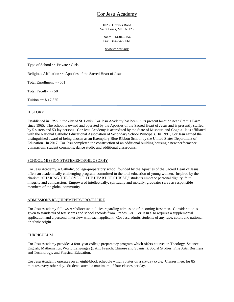## Cor Jesu Academy

10230 Gravois Road Saint Louis, MO 63123

Phone: 314-842-1546 Fax: 314-842-6061

[www.corjesu.org](http://www.corjesu.org/)

Type of School ~~ Private / Girls

Religious Affiliation ~~ Apostles of the Sacred Heart of Jesus

Total Enrollment ~~ 551

Total Faculty  $\sim$  58

Tuition  $\sim$  \$ 17,325

#### **HISTORY**

Established in 1956 in the city of St. Louis, Cor Jesu Academy has been in its present location near Grant's Farm since 1965. The school is owned and operated by the Apostles of the Sacred Heart of Jesus and is presently staffed by 5 sisters and 53 lay persons. Cor Jesu Academy is accredited by the State of Missouri and Cognia. It is affiliated with the National Catholic Educational Association of Secondary School Principals. In 1991, Cor Jesu earned the distinguished award of being chosen as an Exemplary Blue Ribbon School by the United States Department of Education. In 2017, Cor Jesu completed the construction of an additional building housing a new performance gymnasium, student commons, dance studio and additional classrooms.

#### SCHOOL MISSION STATEMENT/PHILOSOPHY

Cor Jesu Academy, a Catholic, college-preparatory school founded by the Apostles of the Sacred Heart of Jesus, offers an academically challenging program, committed to the total education of young women. Inspired by the charism "SHARING THE LOVE OF THE HEART OF CHRIST," students embrace personal dignity, faith, integrity and compassion. Empowered intellectually, spiritually and morally, graduates serve as responsible members of the global community.

#### ADMISSIONS REQUIREMENTS/PROCEDURE

Cor Jesu Academy follows Archdiocesan policies regarding admission of incoming freshmen. Consideration is given to standardized test scores and school records from Grades 6-8. Cor Jesu also requires a supplemental application and a personal interview with each applicant. Cor Jesu admits students of any race, color, and national or ethnic origin.

#### **CURRICULUM**

Cor Jesu Academy provides a four-year college preparatory program which offers courses in Theology, Science, English, Mathematics, World Languages (Latin, French, Chinese and Spanish), Social Studies, Fine Arts, Business and Technology, and Physical Education.

Cor Jesu Academy operates on an eight-block schedule which rotates on a six-day cycle. Classes meet for 85 minutes every other day. Students attend a maximum of four classes per day.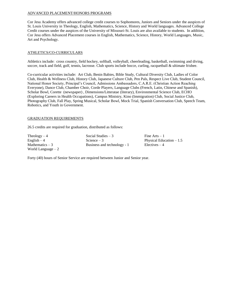#### ADVANCED PLACEMENT/HONORS PROGRAMS

Cor Jesu Academy offers advanced college credit courses to Sophomores, Juniors and Seniors under the auspices of St. Louis University in Theology, English, Mathematics, Science, History and World languages. Advanced College Credit courses under the auspices of the University of Missouri-St. Louis are also available to students. In addition, Cor Jesu offers Advanced Placement courses in English, Mathematics, Science, History, World Languages, Music, Art and Psychology.

#### ATHLETICS/CO-CURRICULARS

Athletics include: cross country, field hockey, softball, volleyball, cheerleading, basketball, swimming and diving, soccer, track and field, golf, tennis, lacrosse. Club sports include bocce, curling, racquetball & ultimate frisbee.

Co-curricular activities include: Art Club, Benin Babies, Bible Study, Cultural Diversity Club, Ladies of Color Club, Health & Wellness Club, History Club, Japanese Culture Club, Pen Pals, Respect Live Club, Student Council, National Honor Society, Principal's Council, Admissions Ambassadors, C.A.R.E. (Christian Action Reaching Everyone), Dance Club, Chamber Choir, Corde Players, Language Clubs (French, Latin, Chinese and Spanish), Scholar Bowl, Corette (newspaper) , Dimensions/Litteratae (literary), Environmental Science Club, ECHO (Exploring Careers in Health Occupations), Campus Ministry, Kino (Immigration) Club, Social Justice Club, Photography Club, Fall Play, Spring Musical, Scholar Bowl, Mock Trial, Spanish Conversation Club, Speech Team, Robotics, and Youth in Government.

#### GRADUATION REQUIREMENTS

26.5 credits are required for graduation, distributed as follows:

World Language – 2

 $Theology - 4$  Social Studies – 3 Fine Arts – 1 English – 4 Science – 3 Physical Education – 1.5 Mathematics  $-3$  Business and technology - 1 Electives  $-4$ 

Forty (40) hours of Senior Service are required between Junior and Senior year.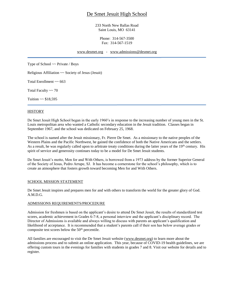## De Smet Jesuit High School

233 North New Ballas Road Saint Louis, MO 63141

Phone: 314-567-3500 Fax: 314-567-1519

[www.desmet.org](http://www.desmet.org/) - [www.admissions@desmet.org](http://www.admissions@desmet.org)

Type of School  $\sim$  Private / Boys

Religious Affiliation ~~ Society of Jesus (Jesuit)

Total Enrollment ~~ 663

Total Faculty  $\sim 70$ 

Tuition  $\sim$  \$18,595

#### **HISTORY**

De Smet Jesuit High School began in the early 1960's in response to the increasing number of young men in the St. Louis metropolitan area who wanted a Catholic secondary education in the Jesuit tradition. Classes began in September 1967, and the school was dedicated on February 25, 1968.

The school is named after the Jesuit missionary, Fr. Pierre De Smet. As a missionary to the native peoples of the Western Plains and the Pacific Northwest, he gained the confidence of both the Native Americans and the settlers. As a result, he was regularly called upon to arbitrate treaty conditions during the latter years of the  $19<sup>th</sup>$  century. His spirit of service and generosity continues today to be a model for De Smet Jesuit students.

De Smet Jesuit's motto, Men for and With Others, is borrowed from a 1973 address by the former Superior General of the Society of Jesus, Pedro Arrupe, SJ. It has become a cornerstone for the school's philosophy, which is to create an atmosphere that fosters growth toward becoming Men for and With Others.

#### SCHOOL MISSION STATEMENT

De Smet Jesuit inspires and prepares men for and with others to transform the world for the greater glory of God. A.M.D.G.

#### ADMISSIONS REQUIREMENTS/PROCEDURE

Admission for freshmen is based on the applicant's desire to attend De Smet Jesuit, the results of standardized test scores, academic achievement in Grades 6-7-8, a personal interview and the applicant's disciplinary record. The Director of Admissions is available and always willing to discuss with parents an applicant's qualification and likelihood of acceptance. It is recommended that a student's parents call if their son has below average grades or composite test scores below the 50<sup>th</sup> percentile.

All families are encouraged to visit the De Smet Jesuit website [\(www.desmet.org\)](http://www.desmet.org/) to learn more about the admissions process and to submit an online application. This year, because of COVID-19 health guidelines, we are offering custom tours in the evenings for families with students in grades 7 and 8. Visit our website for details and to register.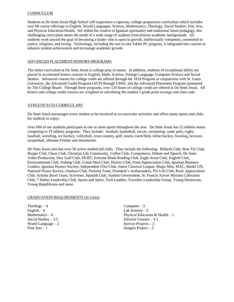#### CURRICULUM

Students at De Smet Jesuit High School will experience a rigorous, college-preparatory curriculum which includes over 80 course offerings in English, World Languages, Science, Mathematics, Theology, Social Studies, Fine Arts, and Physical Education/Health. Set within the context of Ignatian spirituality and traditional Jesuit pedagogy, this challenging curriculum meets the needs of a wide range of students from diverse academic backgrounds. All students work toward the goal of becoming a leader who is open to growth, intellectually competent, committed to justice, religious, and loving. Technology, including the one-to-one Tablet PC program, is integrated into courses to enhance student achievement and encourage academic growth.

#### ADVANCED PLACEMENT/HONORS PROGRAMS

The entire curriculum at De Smet Jesuit is college prep in nature. In addition, students of exceptional ability are placed in accelerated honors courses in English, Math, Science, Foreign Language, Computer Science and Social Studies. Advanced courses for college credit are offered through the 1818 Program in conjunction with St. Louis University, the Advanced Credit Program (ACP) through UMSL and the Advanced Placement Program sponsored by The College Board. Through these programs, over 120 hours of college credit are offered at De Smet Jesuit. All honors and college credit courses are weighted in calculating the student's grade point average and class rank.

#### ATHLETICS/CO-CURRICULARS

De Smet Jesuit encourages every student to be involved in co-curricular activities and offers many sports and clubs for students to enjoy.

Over 600 of our students participate in one or more sports throughout the year. De Smet Jesuit has 52 athletic teams competing in 19 athletic programs. They include: football, basketball, soccer, swimming, water polo, rugby, baseball, wrestling, ice hockey, volleyball, cross country, golf, tennis, track/field, inline hockey, bowling, lacrosse, racquetball, ultimate Frisbee and intramurals.

De Smet Jesuit also has over 50 active student led clubs. They include the following: Billards Club, Bow Tie Club, Burger Club, Chess Club, Christian Life Community, Coffee Club, Compañeros, Debate and Speech, De Smet Video Production, Disc Golf Club, DURT, Extreme Book Reading Club, Eagle Scout Club, English Club, Environmental Club, Fishing Club, Guitar Hero Club, History Club, Food Appreciation Club, Ignatian Business Leaders, Ignatian Honors Society, Independent Film Club, Junior Classical League, Magis Men, MAC, Model UN, National Honor Society, Outdoor Club, Pastoral Team, President's Ambassadors, Pro Life Club, Rock Appreciation Club, Scholar Bowl Team, Scrivener, Spanish Club, Student Government, St. Francis Xavier Mission Collection Club, 7 Habits Leadership Club, Sports and Spirit, Tech Leaders, Travelers Leadership Group, Young Democrats, Young Republicans and more.

#### GRADUATION REQUIREMENTS (In Units)

 $Theology - 4$  Computer - .5  $English - 4$  Lab Science – 3 World Language – 2 Service Projects - .5<br>
Fine Arts – 1 Service Project - .5

Mathematics – 4 Physical Education & Health – 1 Social Studies – 3.5 Elective Courses – 4.5 Insignis Project - .5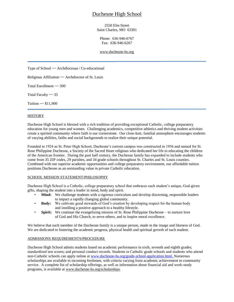## Duchesne High School

2550 Elm Street Saint Charles, MO 63301

Phone: 636-946-6767 Fax: 636-946-6267

[www.duchesne-hs.org](http://www.duchesne-hs.org/)

Type of School ~~ Archdiocesan / Co-educational

Religious Affiliation ~~ Archdiocese of St. Louis

Total Enrollment ~~ 300

Total Faculty  $\sim$  35

Tuition  $\sim$  \$11,900

#### **HISTORY**

Duchesne High School is blessed with a rich tradition of providing exceptional Catholic, college preparatory education for young men and women. Challenging academics, competitive athletics and thriving student activities create a spirited community where faith is our cornerstone. Our close-knit, familial atmosphere encourages students of varying abilities, faiths and social backgrounds to realize their unique potential.

Founded in 1924 as St. Peter High School, Duchesne's current campus was constructed in 1956 and named for St. Rose Philippine Duchesne, a Society of the Sacred Heart religious who dedicated her life to educating the children of the American frontier. During the past half century, the Duchesne family has expanded to include students who come from 35 ZIP codes, 29 parishes, and 34 grade schools throughout St. Charles and St. Louis counties. Combined with our superior academic opportunities and college preparatory environment, our affordable tuition positions Duchesne as an outstanding value in private Catholic education.

#### SCHOOL MISSION STATEMENT/PHILOSOPHY

Duchesne High School is a Catholic, college preparatory school that embraces each student's unique, God-given gifts, shaping the student into a leader in mind, body and spirit.

- **Mind:** We challenge students with a rigorous curriculum and develop discerning, responsible leaders to impact a rapidly changing global community.
- **Body:** We cultivate good stewards of God's creation by developing respect for the human body and instilling a positive approach to a healthy lifestyle.
- **Spirit:** We continue the evangelizing mission of St. Rose Philippine Duchesne to nurture love of God and His Church, to serve others, and to inspire moral excellence.

We believe that each member of the Duchesne family is a unique person, made in the image and likeness of God. We are dedicated to fostering the academic progress, physical health and spiritual growth of each student.

#### ADMISSIONS REQUIREMENTS/PROCEDURE

Duchesne High School admits students based on academic performance in sixth, seventh and eighth grades; standardized test scores; and personal conduct records. Students in Catholic grade schools and students who attend non-Catholic schools can apply online at [www.duchesne-hs.org/grade-school-application.html. N](http://www.duchesne-hs.org/grade-school-application.html.)umerous scholarships are available to incoming freshmen, with criteria varying from academic achievement to community service. A complete list of scholarship offerings, as well as information about financial aid and work-study programs, is available at [www.duchesne-hs.org/scholarships.](http://www.duchesne-hs.org/scholarships)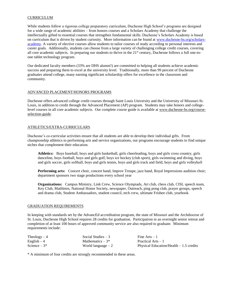#### **CURRICULUM**

While students follow a rigorous college preparatory curriculum, Duchesne High School's programs are designed for a wide range of academic abilities – from honors courses and a Scholars Academy that challenge the intellectually gifted to essential courses that strengthen fundamental skills. Duchesne's Scholars Academy is based on curriculum that is driven by student curiosity. More information can be found at [www.duchesne-hs.org/scholars](http://www.duchesne-hs.org/scholars-academy)[academy.](http://www.duchesne-hs.org/scholars-academy) A variety of elective courses allow students to tailor courses of study according to personal interests and career goals. Additionally, students can choose from a large variety of challenging college credit courses, covering all core academic subjects. In preparing our students to thrive in the 21st century, Duchesne follows a full one-toone tablet technology program.

Our dedicated faculty members (33% are DHS alumni!) are committed to helping all students achieve academic success and preparing them to excel at the university level. Traditionally, more than 99 percent of Duchesne graduates attend college, many earning significant scholarship offers for excellence in the classroom and community.

#### ADVANCED PLACEMENT/HONORS PROGRAMS

Duchesne offers advanced college credit courses through Saint Louis University and the University of Missouri-St. Louis, in addition to credit through the Advanced Placement (AP) program. Students may take honors and collegelevel courses in all core academic subjects. Our complete course guide is available at [www.duchesne-hs.org/course](http://www.duchesne-hs.org/course-selection-guide)[selection-guide.](http://www.duchesne-hs.org/course-selection-guide)

#### ATHLETICS/EXTRA-CURRICULARS

Duchesne's co-curricular activities ensure that all students are able to develop their individual gifts. From championship athletics to performing arts and service organizations, our programs encourage students to find unique niches that complement their education.

**Athletics:** Boys baseball, boys and girls basketball, girls cheerleading, boys and girls cross country, girls danceline, boys football, boys and girls golf, boys ice hockey (club sport), girls swimming and diving, boys and girls soccer, girls softball, boys and girls tennis, boys and girls track and field, boys and girls volleyball

**Performing arts:** Concert choir, concert band, Improv Troupe, jazz band, Royal Impressions audition choir; department sponsors two stage productions every school year

**Organizations:** Campus Ministry, Link Crew, Science Olympiads, Art club, chess club, CISL speech team, Key Club, Mathletes, National Honor Society, newspaper, Outreach, ping pong club, prayer groups, speech and drama club, Student Ambassadors, student council, tech crew, ultimate Frisbee club, yearbook

#### GRADUATION REQUIREMENTS

In keeping with standards set by the AdvancEd accreditation program, the state of Missouri and the Archdiocese of St. Louis, Duchesne High School requires 28 credits for graduation. Participation in an overnight senior retreat and completion of at least 100 hours of approved community service are also required to graduate. Minimum requirements include:

| $Theology-4$  | Social Studies $-3$ | Fine $Arts - 1$                          |
|---------------|---------------------|------------------------------------------|
| English $-4$  | Mathematics $-3*$   | Practical Arts $-1$                      |
| Science $-3*$ | World language $-2$ | Physical Education/Health $-1.5$ credits |

\* A minimum of four credits are strongly recommended in these areas.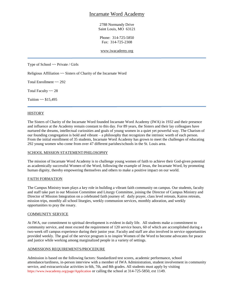## Incarnate Word Academy

2788 Normandy Drive Saint Louis, MO 63121

Phone: 314-725-5850 Fax: 314-725-2308

[www.iwacademy.org](http://www.iwacademy.org/)

Type of School ~~ Private / Girls

Religious Affiliation ~~ Sisters of Charity of the Incarnate Word

Total Enrollment ~~ 292

Total Faculty ~~ 28

Tuition  $\sim$  \$15,495

#### **HISTORY**

The Sisters of Charity of the Incarnate Word founded Incarnate Word Academy (IWA) in 1932 and their presence and influence at the Academy remain constant to this day. For 89 years, the Sisters and their lay colleagues have nurtured the dreams, intellectual curiosities and goals of young women in a quiet yet powerful way. The Charism of our founding congregation is bold and vibrant – a philosophy that recognizes the intrinsic worth of each person. From the initial enrollment of 35 students, Incarnate Word Academy has grown to meet the challenges of educating 292 young women who come from over 47 different parishes/schools in the St. Louis area.

#### SCHOOL MISSION STATEMENT/PHILOSOPHY

The mission of Incarnate Word Academy is to challenge young women of faith to achieve their God-given potential as academically successful Women of the Word, following the example of Jesus, the Incarnate Word, by promoting human dignity, thereby empowering themselves and others to make a positive impact on our world.

#### FAITH FORMATION

The Campus Ministry team plays a key role in building a vibrant faith community on campus. Our students, faculty and staff take part in our Mission Committee and Liturgy Committee, joining the Director of Campus Ministry and Director of Mission Integration on a celebrated faith journey of: daily prayer, class level retreats, Kairos retreats, mission trips, monthly all school liturgies, weekly communion services, monthly adoration, and weekly opportunities to pray the rosary.

#### COMMUNITY SERVICE

At IWA, our commitment to spiritual development is evident in daily life. All students make a commitment to community service, and most exceed the requirement of 120 service hours, 60 of which are accomplished during a two-week off campus experience during their junior year. Faculty and staff are also involved in service opportunities provided weekly. The goal of the service program is to inspire Women of the Word to become advocates for peace and justice while working among marginalized people in a variety of settings.

#### ADMISSIONS REQUIREMENTS/PROCEDURE

Admission is based on the following factors: Standardized test scores, academic performance, school attendance/tardiness, in-person interview with a member of IWA Administration, student involvement in community service, and extracurricular activities in 6th, 7th, and 8th grades. All students must apply by visiting https://www.iwacademy.org/page/Application or calling the school at 314-725-5850, ext 1149.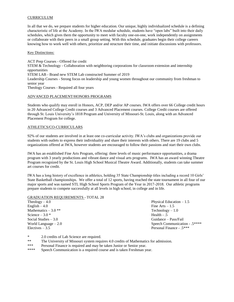#### **CURRICULUM**

In all that we do, we prepare students for higher education. Our unique, highly individualized schedule is a defining characteristic of life at the Academy. In the IWA modular schedule, students have "open labs" built into their daily schedules, which gives them the opportunity to meet with faculty one-on-one, work independently on assignments or collaborate with their peers in a small group setting. With this schedule, graduates begin their college careers knowing how to work well with others, prioritize and structure their time, and initiate discussions with professors.

#### Key Distinctions:

ACT Prep Courses - Offered for credit STEM & Technology - Collaboration with neighboring corporations for classroom extension and internship opportunities STEM LAB - Brand new STEM Lab constructed Summer of 2019 Leadership Courses - Strong focus on leadership and young women throughout our community from freshman to senior year Theology Courses - Required all four years

#### ADVANCED PLACEMENT/HONORS PROGRAMS

Students who qualify may enroll in Honors, ACP, DEP and/or AP courses. IWA offers over 66 College credit hours in 20 Advanced College Credit courses and 3 Advanced Placement courses. College Credit courses are offered through St. Louis University's 1818 Program and University of Missouri-St. Louis, along with an Advanced Placement Program for college.

#### ATHLETICS/CO-CURRICULARS

92% of our students are involved in at least one co-curricular activity. IWA's clubs and organizations provide our students with outlets to express their individuality and share their interests with others. There are 19 clubs and 5 organizations offered at IWA, however students are encouraged to follow their passions and start their own clubs.

IWA has an established Fine Arts Program, offering: three levels of music performance opportunities, a drama program with 3 yearly productions and vibrant dance and visual arts programs. IWA has an award winning Theatre Program recognized by the St. Louis High School Musical Theatre Award. Additionally, students can take summer art courses for credit.

IWA has a long history of excellence in athletics, holding 35 State Championship titles including a record 10 Girls' State Basketball championships. We offer a total of 12 sports, having reached the state tournament in all four of our major sports and was named STL High School Sports Program of the Year in 2017-2018. Our athletic programs prepare students to compete successfully at all levels in high school, in college and in life.

#### GRADUATION REQUIREMENTS - TOTAL 28

| Physical Education $-1.5$     |  |
|-------------------------------|--|
| Fine Arts $-1.5$              |  |
| $Technology - 1.0$            |  |
| Health $- .5$                 |  |
| Guidance – Pass/Fail          |  |
| Speech Communication - .5**** |  |
| Personal Finance - .5***      |  |
|                               |  |

\* 2.0 credits of Lab Science are required.<br>
\*\* The University of Missouri system required.

- The University of Missouri system requires 4.0 credits of Mathematics for admission.
- \*\*\* Personal Finance is required and may be taken Junior or Senior year.
- \*\*\*\* Speech Communication is a required course and is taken Freshman year.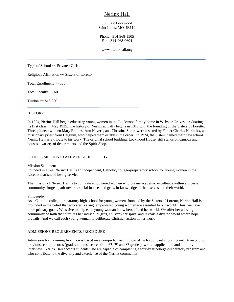## Nerinx Hall

530 East Lockwood Saint Louis, MO 63119

Phone: 314-968-1505 Fax: 314-968-0604

#### [www.nerinxhall.org](http://www.nerinxhall.org/)

Type of School  $\sim$  Private / Girls

Religious Affiliation ~~ Sisters of Loretto

Total Enrollment ~~ 566

Total Faculty  $\sim 60$ 

Tuition  $\sim$  \$16,950

#### **HISTORY**

In 1924, Nerinx Hall began educating young women in the Lockwood family home in Webster Groves, graduating its first class in May 1925. The history of Nerinx actually begins in 1812 with the founding of the Sisters of Loretto. Three pioneer women Mary Rhodes, Ann Havern, and Christina Stuart were assisted by Father Charles Nerinckx, a missionary priest from Belgium, who helped them establish the order. In 1924, the Sisters named their new school Nerinx Hall as a tribute to his work. The original school building, Lockwood House, still stands on campus and houses a variety of departments and the Spirit Shop.

#### SCHOOL MISSION STATEMENT/PHILOSOPHY

#### Mission Statement

Founded in 1924, Nerinx Hall is an independent, Catholic, college-preparatory school for young women in the Loretto charism of loving service.

The mission of Nerinx Hall is to cultivate empowered women who pursue academic excellence within a diverse community, forge a path towards social justice, and grow in knowledge of themselves and their world.

#### Philosophy

As a Catholic college-preparatory high school for young women, founded by the Sisters of Loretto, Nerinx Hall is grounded in the belief that educated, caring, empowered young women are essential to our world. Thus, we have three primary goals. We strive to help each young woman know herself and her world. We offer her a loving community of faith that nurtures her individual gifts, enlivens her spirit, and reveals a diverse world where hope prevails. And we call each young woman to deliberate Christian action in her world

#### ADMISSIONS REQUIREMENTS/PROCEDURE

Admission for incoming freshmen is based on a comprehensive review of each applicant's total record: transcript of previous school records (grades and test scores from 6<sup>th</sup>, 7<sup>th</sup> and 8<sup>th</sup> grades); written application; and a family interview. Nerinx Hall accepts students who are capable of completing a four-year college-preparatory program and who contribute to the diversity and excellence of the Nerinx community.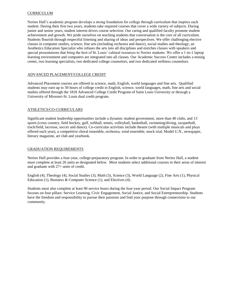#### CURRICULUM

Nerinx Hall's academic program develops a strong foundation for college through curriculum that inspires each student. During their first two years, students take required courses that cover a wide variety of subjects. During junior and senior years, student interest drives course selection. Our caring and qualified faculty promote student achievement and growth. We pride ourselves on teaching students that conversation is the core of all curriculum. Students flourish through respectful listening and sharing of ideas and perspectives. We offer challenging elective classes in computer studies, science, fine arts (including orchestra and dance), social studies and theology; an Aesthetics Education Specialist who infuses the arts into all disciplines and enriches classes with speakers and special presentations that bring the best of St. Louis' cultural resources to Nerinx students. We offer a 1-to-1 laptop learning environment and computers are integrated into all classes. Our Academic Success Center includes a testing center, two learning specialists, two dedicated college counselors, and two dedicated wellness counselors.

#### ADVANCED PLACEMENT/COLLEGE CREDIT

Advanced Placement courses are offered in science, math, English, world languages and fine arts. Qualified students may earn up to 30 hours of college credit in English, science, world languages, math, fine arts and social studies offered through the 1818 Advanced College Credit Program of Saint Louis University or through a University of Missouri-St. Louis dual credit program.

#### ATHLETICS/CO-CURRICULARS

Significant student leadership opportunities include a dynamic student government, more than 40 clubs, and 13 sports (cross country, field hockey, golf, softball, tennis, volleyball, basketball, swimming/diving, racquetball, track/field, lacrosse, soccer and dance). Co-curricular activities include theatre (with multiple musicals and plays offered each year), a competitive choral ensemble, orchestra, wind ensemble, mock trial, Model U.N., newspaper, literary magazine, art club and yearbook.

#### GRADUATION REQUIREMENTS

Nerinx Hall provides a four-year, college-preparatory program. In order to graduate from Nerinx Hall, a student must complete at least 26 units as designated below. Most students select additional courses in their areas of interest and graduate with 27+ units of credit.

English (4), Theology (4), Social Studies (3), Math (3), Science (3), World Language (2), Fine Arts (1), Physical Education (1), Business & Computer Science (1), and Electives (4).

Students must also complete at least 90 service hours during the four-year period. Our Social Impact Program focuses on four pillars: Service Learning, Civic Engagement, Social Justice, and Social Entrepreneurship. Students have the freedom and responsibility to pursue their passions and find your purpose through connections to our community.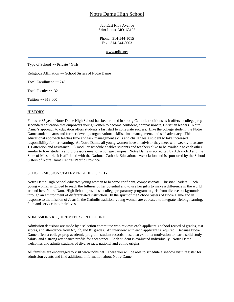## Notre Dame High School

320 East Ripa Avenue Saint Louis, MO 63125

Phone: 314-544-1015 Fax: 314-544-8003

[www.ndhs.net](http://www.ndhs.net/)

Type of School ~~ Private / Girls

Religious Affiliation ~~ School Sisters of Notre Dame

Total Enrollment ~~ 245

Total Faculty ~~ 32

Tuition  $\sim$  \$13,000

#### **HISTORY**

For over 85 years Notre Dame High School has been rooted in strong Catholic traditions as it offers a college prep secondary education that empowers young women to become confident, compassionate, Christian leaders. Notre Dame's approach to education offers students a fast start to collegiate success. Like the college student, the Notre Dame student learns and further develops organizational skills, time management, and self-advocacy. This educational approach teaches time and task management skills and challenges a student to take increased responsibility for her learning. At Notre Dame, all young women have an advisor they meet with weekly to assure 1:1 attention and assistance. A modular schedule enables students and teachers alike to be available to each other similar to how students and professors meet on a college campus. Notre Dame is accredited by AdvancED and the State of Missouri. It is affiliated with the National Catholic Educational Association and is sponsored by the School Sisters of Notre Dame Central Pacific Province.

#### SCHOOL MISSION STATEMENT/PHILOSOPHY

Notre Dame High School educates young women to become confident, compassionate, Christian leaders. Each young woman is guided to reach the fullness of her potential and to use her gifts to make a difference in the world around her. Notre Dame High School provides a college preparatory program to girls from diverse backgrounds through an environment of differentiated instruction. In the spirit of the School Sisters of Notre Dame and in response to the mission of Jesus in the Catholic tradition, young women are educated to integrate lifelong learning, faith and service into their lives.

#### ADMISSIONS REQUIREMENTS/PROCEDURE

Admission decisions are made by a selection committee who reviews each applicant's school record of grades, test scores, and attendance from  $6<sup>th</sup>$ ,  $7<sup>th</sup>$ , and  $8<sup>th</sup>$  grades. An interview with each applicant is required. Because Notre Dame offers a college-prep academic program, student records must also exhibit a motivation to learn, solid study habits, and a strong attendance profile for acceptance. Each student is evaluated individually. Notre Dame welcomes and admits students of diverse race, national and ethnic origins.

All families are encouraged to visit www.ndhs.net. There you will be able to schedule a shadow visit, register for admission events and find additional information about Notre Dame.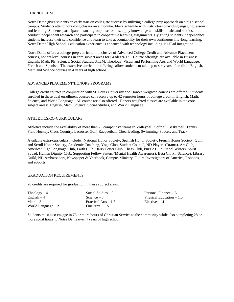#### CURRICULUM

Notre Dame gives students an early start on collegiate success by utilizing a college prep approach on a high school campus. Students attend hour-long classes on a modular, block schedule with instructors providing engaging lessons and learning. Students participate in small group discussions, apply knowledge and skills in labs and studios, conduct independent research and participate in cooperative learning assignments. By giving students independence, students increase their self-confidence and learn to take accountability for their own continuous life-long learning. Notre Dame High School's education experience is enhanced with technology including 1:1 iPad integration.

Notre Dame offers a college-prep curriculum, inclusive of Advanced College Credit and Advance Placement courses, honors level courses in core subject areas for Grades 9-12. Course offerings are available in Business, English, Math, PE, Science, Social Studies, STEM, Theology, Visual and Performing Arts and World Language: French and Spanish. The extensive curriculum offerings allow students to take up to six years of credit in English, Math and Science courses in 4 years of high school.

#### ADVANCED PLACEMENT/HONORS PROGRAMS

College credit courses in conjunction with St. Louis University and Honors weighted courses are offered. Students enrolled in these dual enrollment courses can receive up to 42 semester hours of college credit in English, Math, Science, and World Language. AP course are also offered. Honors weighted classes are available in the core subject areas: English, Math, Science, Social Studies, and World Language.

#### ATHLETICS/CO-CURRICULARS

Athletics include the availability of more than 20 competitive teams in Volleyball, Softball, Basketball, Tennis, Field Hockey, Cross Country, Lacrosse, Golf, Racquetball, Cheerleading, Swimming, Soccer, and Track.

Available extra-curriculars include: National Honor Society, Spanish Honor Society, French Honor Society, Quill and Scroll Honor Society, Academic Coaching, Yoga Club, Student Council, ND Players (Drama), Art Club, American Sign Language Club, Earth Club, Harry Potter Club, Chess Club, Puzzle Club, Rebel Writers, Spirit Squad, Human Dignity Club, Supporting Fellow Sisters (Mental Health Awareness), Beta Chi Pi (Science), Library Guild, ND Ambassadors, Newspaper & Yearbook, Campus Ministry, Future Investigators of America, Robotics, and eSports.

#### GRADUATION REQUIREMENTS

28 credits are required for graduation in these subject areas:

| Social Studies $-3$   | Personal Fina       |
|-----------------------|---------------------|
| Science $-3$          | <b>Physical Edu</b> |
| Practical Arts $-1.5$ | $Electives - 4$     |
| Fine Arts $-1.5$      |                     |
|                       |                     |

Finance - .5 Education –  $1.5$ 

Students must also engage in 75 or more hours of Christian Service to the community while also completing 28 or more spirit hours to Notre Dame over 4 years of high school.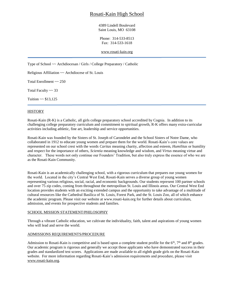## Rosati-Kain High School

4389 Lindell Boulevard Saint Louis, MO 63108

Phone: 314-533-8513 Fax: 314-533-1618

[www.rosati-kain.org](http://www.rosati-kain.org/)

Type of School ~~ Archdiocesan / Girls / College Preparatory / Catholic

Religious Affiliation ~~ Archdiocese of St. Louis

Total Enrollment ~~ 250

Total Faculty  $\sim$  33

Tuition  $\sim$  \$13,125

#### **HISTORY**

Rosati-Kain (R-K) is a Catholic, all girls college preparatory school accredited by Cognia. In addition to its challenging college preparatory curriculum and commitment to spiritual growth, R-K offers many extra-curricular activities including athletic, fine art, leadership and service opportunities.

Rosati-Kain was founded by the Sisters of St. Joseph of Carondelet and the School Sisters of Notre Dame, who collaborated in 1912 to educate young women and prepare them for the world. Rosati-Kain's core values are represented on our school crest with the words *Caritas* meaning charity, affection and esteem, *Humilitas* or humility and respect for the importance of others, *Scientia* meaning knowledge and wisdom, and *Virtus* meaning virtue and character. These words not only continue our Founders' Tradition, but also truly express the essence of who we are as the Rosati-Kain Community.

Rosati-Kain is an academically challenging school, with a rigorous curriculum that prepares our young women for the world. Located in the city's Central West End, Rosati-Kain serves a diverse group of young women representing various religious, social, racial, and economic backgrounds. Our students represent 100 partner schools and over 75 zip codes, coming from throughout the metropolitan St. Louis and Illinois areas. Our Central West End location provides students with an exciting extended campus and the opportunity to take advantage of a multitude of cultural resources like the Cathedral Basilica of St. Louis, Forest Park, and the St. Louis Zoo, all of which enhance the academic program. Please visit our website at www.rosati-kain.org for further details about curriculum, admission, and events for prospective students and families.

#### SCHOOL MISSION STATEMENT/PHILOSOPHY

Through a vibrant Catholic education, we cultivate the individuality, faith, talent and aspirations of young women who will lead and serve the world.

#### ADMISSIONS REQUIREMENTS/PROCEDURE

Admission to Rosati-Kain is competitive and is based upon a complete student profile for the  $6<sup>th</sup>$ ,  $7<sup>th</sup>$  and  $8<sup>th</sup>$  grades. Our academic program is rigorous and generally we accept those applicants who have demonstrated success in their grades and standardized test scores. Applications are made available to all eighth grade girls on the Rosati-Kain website. For more information regarding Rosati-Kain's admission requirements and procedure, please visit [www.rosati-kain.org.](http://www.rosati-kain.org/)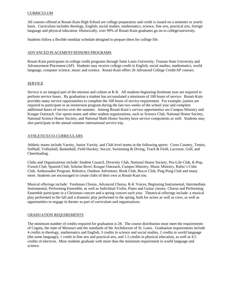#### CURRICULUM

All courses offered at Rosati-Kain High School are college preparatory and credit is issued on a semester or yearly basis. Curriculum includes theology, English, social studies, mathematics, science, fine arts, practical arts, foreign language and physical education. Historically, over 99% of Rosati-Kain graduates go on to college/university.

Students follow a flexible modular schedule designed to prepare them for college life.

#### ADVANCED PLACEMENT/HONORS PROGRAMS

Rosati-Kain participates in college credit programs through Saint Louis University, Truman State University and Advancement Placement (AP). Students may receive college credit in English, social studies, mathematics, world language, computer science, music and science. Rosati-Kain offers 26 Advanced College Credit/AP courses.

#### SERVICE

Service is an integral part of the mission and culture at R-K. All students beginning freshman year are required to perform service hours. By graduation a student has accumulated a minimum of 100 hours of service. Rosati-Kain provides many service opportunities to complete the 100 hours of service requirement. For example, juniors are required to participate in an immersion program during the last two weeks of the school year and complete additional hours of service over the summer. Among Rosati-Kain's service opportunities are Campus Ministry and Kougar Outreach. Our sports teams and other student organizations, such as Science Club, National Honor Society, National Science Honor Society, and National Math Honor Society have service components as well. Students may also participate in the annual summer international service trip.

#### ATHLETICS/CO-CURRICULARS

Athletic teams include Varsity, Junior Varsity, and Club level teams in the following sports: Cross Country, Tennis, Softball, Volleyball, Basketball, Field Hockey, Soccer, Swimming & Diving, Track & Field, Lacrosse, Golf, and Cheerleading.

Clubs and Organizations include: Student Council, Diversity Club, National Honor Society, Pro-Life Club, K-Pop, French Club, Spanish Club, Scholar Bowl, Kougar Outreach, Campus Ministry, Music Ministry, Rubic's Cube Club, Ambassador Program, Robotics, Outdoor Adventure, Book Club, Bocce Club, Ping Pong Club and many more. Students are encouraged to create clubs of their own at Rosati-Kain too.

Musical offerings include: Freshman Chorus, Advanced Chorus, R-K Voices, Beginning Instrumental, Intermediate Instrumental, Performing Ensemble, as well as Individual Violin, Piano and Guitar classes. Chorus and Performing Ensemble participate in a Christmas concert and a spring concert each year. Theatrical offerings include: a musical play performed in the fall and a dramatic play performed in the spring, both for actors as well as crew, as well as opportunities to engage in theater as part of curriculum and organizations.

#### GRADUATION REQUIREMENTS

The minimum number of credits required for graduation is 28. The course distribution must meet the requirements of Cognia, the state of Missouri and the standards of the Archdiocese of St. Louis. Graduation requirements include 4 credits in theology, mathematics and English, 3 credits in science and social studies, 2 credits in world language (the same language), 1 credit in fine arts and practical arts, and 1.5 credits in physical education, as well as 4.5 credits of electives. Most students graduate with more than the minimum requirement in world language and science.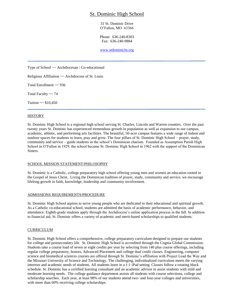## St. Dominic High School

31 St. Dominic Drive O'Fallon, MO 63366

Phone: 636-240-8303 Fax: 636-240-9884

[www.stdominichs.org](http://www.baratacademy.org/)

Type of School ~~ Archdiocesan / Co-educational

Religious Affiliation ~~ Archdiocese of St. Louis

Total Enrollment ~~ 936

Total Faculty ~~ 74

Tuition  $\sim$  \$10,450

#### **HISTORY**

St. Dominic High School is a regional high school serving St. Charles, Lincoln and Warren counties. Over the past twenty years St. Dominic has experienced tremendous growth in population as well as expansion to our campus, academic, athletic, and performing arts facilities. The beautiful, 50-acre campus features a wide range of indoor and outdoor spaces for students to learn, pray and grow. The four pillars of St. Dominic High School – prayer, study, community and service – guide students in the school's Dominican charism. Founded as Assumption Parish High School in O'Fallon in 1929, the school became St. Dominic High School in 1962 with the support of the Dominican Sisters.

#### SCHOOL MISSION STATEMENT/PHILOSOPHY

St. Dominic is a Catholic, college preparatory high school offering young men and women an education rooted in the Gospel of Jesus Christ. Living the Dominican tradition of prayer, study, community and service, we encourage lifelong growth in faith, knowledge, leadership and community involvement.

#### ADMISSIONS REQUIREMENTS/PROCEDURE

St. Dominic High School aspires to serve young people who are dedicated to their educational and spiritual growth. As a Catholic co-educational school, students are admitted the basis of academic performance, behavior, and attendance. Eighth-grade students apply through the Archdiocese's online application process in the fall. In addition to financial aid, St. Dominic offers a variety of academic and merit-based scholarships to qualified students.

#### CURRICULUM

St. Dominic High School offers a comprehensive, college preparatory curriculum designed to prepare our students for college and postsecondary life. St. Dominic High School is accredited through the Cognia Global Commission. Students take a course load of seven or eight credits per year by selecting from 140 plus course offerings, including regular college preparatory, honors, Advanced Placement and college dual credit classes. Engineering, computer science and biomedical sciences courses are offered through St. Dominic's affiliation with Project Lead the Way and the Missouri University of Science and Technology. The challenging, individualized curriculum meets the varying interests and academic needs of students. All students learn in a 1:1 iPad setting. Classes follow a rotating block schedule. St. Dominic has a certified learning consultant and an academic advisor to assist students with mild and moderate learning needs. The college guidance department assists all students with course selections, college and scholarship searches. Each year, at least 98% of our students attend two- and four-year colleges and universities, with more than 60% receiving college scholarships.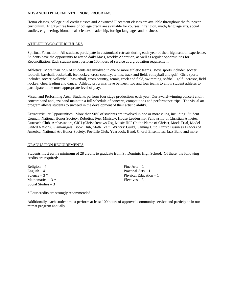#### ADVANCED PLACEMENT/HONORS PROGRAMS

Honor classes, college dual credit classes and Advanced Placement classes are available throughout the four-year curriculum. Eighty-three hours of college credit are available for courses in religion, math, language arts, social studies, engineering, biomedical sciences, leadership, foreign languages and business.

#### ATHLETICS/CO-CURRICULARS

Spiritual Formation: All students participate in customized retreats during each year of their high school experience. Students have the opportunity to attend daily Mass, weekly Adoration, as well as regular opportunities for Reconciliation. Each student must perform 100 hours of service as a graduation requirement.

Athletics: More than 72% of students are involved in one or more athletic teams. Boys sports include: soccer, football, baseball, basketball, ice hockey, cross country, tennis, track and field, volleyball and golf. Girls sports include: soccer, volleyball, basketball, cross country, tennis, track and field, swimming, softball, golf, lacrosse, field hockey, cheerleading and dance. Athletic programs have between two and four teams to allow student athletes to participate in the most appropriate level of play.

Visual and Performing Arts: Students perform four stage productions each year. Our award-winning concert choir, concert band and jazz band maintain a full schedule of concerts, competitions and performance trips. The visual art program allows students to succeed in the development of their artistic ability.

Extracurricular Opportunities: More than 90% of students are involved in one or more clubs, including: Student Council, National Honor Society, Robotics, Peer Ministry, House Leadership, Fellowship of Christian Athletes, Outreach Club, Ambassadors, CRU (Christ Renews Us), Music INC (In the Name of Christ), Mock Trial, Model United Nations, Glamourgals, Book Club, Math Team, Writers' Guild, Gaming Club, Future Business Leaders of America, National Art Honor Society, Pro-Life Club, Yearbook, Band, Choral Ensembles, Jazz Band and more.

#### GRADUATION REQUIREMENTS

Students must earn a minimum of 28 credits to graduate from St. Dominic High School. Of these, the following credits are required:

 $Religion - 4$  Fine Arts – 1 English – 4 Practical Arts – 1 Mathematics  $-3$  \* Electives  $-8$ Social Studies  $-3$ 

Science  $-3$  \* Physical Education  $-1$ 

\* Four credits are strongly recommended.

Additionally, each student must perform at least 100 hours of approved community service and participate in our retreat program annually.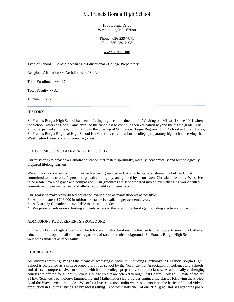## St. Francis Borgia High School

#### 1000 Borgia Drive Washington, MO 63090

Phone: 636-239-7871 Fax: 636-239-1198

[www.borgia.com](http://www.borgia.com/)

Type of School ~~ Archdiocesan / Co-Educational / College Preparatory

Religious Affiliation ~~ Archdiocese of St. Louis

Total Enrollment ~~ 427

Total Faculty ~~ 32

Tuition  $\sim$  \$8,795

#### **HISTORY**

St. Francis Borgia High School has been offering high school education in Washington, Missouri since 1901 when the School Sisters of Notre Dame enrolled the first class to continue their education beyond the eighth grade. The school expanded and grew, culminating in the opening of St. Francis Borgia Regional High School in 1982. Today, St. Francis Borgia Regional High School is a Catholic, co-educational, college preparatory high school serving the Washington Deanery and surrounding areas.

#### SCHOOL MISSION STATEMENT/PHILOSOPHY

Our mission is to provide a Catholic education that fosters spiritually, morally, academically and technologically prepared lifelong learners.

We envision a community of inquisitive learners, grounded in Catholic heritage, sustained by faith in Christ, committed to one another's personal growth and dignity, and guided by a consistent Christian life ethic. We strive to be a safe haven of grace and compassion. Our graduates are sent prepared into an ever-changing world with a commitment to serve the needs of others responsibly and generously.

Our goal is to make value-based education available to as many students as possible.

- \* Approximately \$706,000 in tuition assistance is available per academic year.
- \* A Learning Consultant is available to assist all students.
- \* We pride ourselves on affording students access to the latest in technology, including electronic curriculum.

#### ADMISSIONS REQUIREMENTS/PROCEDURE

St. Francis Borgia High School is an Archdiocesan high school serving the needs of all students seeking a Catholic education. It is open to all students regardless of race or ethnic background. St. Francis Borgia High School welcomes students of other faiths.

#### CURRICULUM

All students are using iPads as the means of accessing curriculum, including iTextbooks. St. Francis Borgia High School is accredited as a college preparatory high school by the North Central Association of Colleges and Schools and offers a comprehensive curriculum with honors, college prep and vocational classes. Academically challenging courses are offered for all ability levels. College credits are offered through East Central College. A state of the art STEM (Science, Technology, Engineering and Mathematics) lab provides engineering classes following the Project Lead the Way curriculum guide. We offer a live television studio where students learn the basics of digital video production in a journalistic based broadcast setting. Approximately 96% of our 2021 graduates are attending post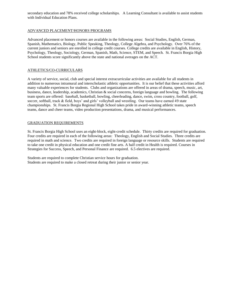secondary education and 78% received college scholarships. A Learning Consultant is available to assist students with Individual Education Plans.

#### ADVANCED PLACEMENT/HONORS PROGRAMS

Advanced placement or honors courses are available in the following areas: Social Studies, English, German, Spanish, Mathematics, Biology, Public Speaking, Theology, College Algebra, and Psychology. Over 76% of the current juniors and seniors are enrolled in college credit courses. College credits are available in English, History, Psychology, Theology, Sociology, German, Spanish, Math, Science, STEM, and Speech. St. Francis Borgia High School students score significantly above the state and national averages on the ACT.

#### ATHLETICS/CO-CURRICULARS

A variety of service, social, club and special interest extracurricular activities are available for all students in addition to numerous intramural and interscholastic athletic opportunities. It is our belief that these activities afford many valuable experiences for students. Clubs and organizations are offered in areas of drama, speech, music, art, business, dance, leadership, academics, Christian & social concerns, foreign language and bowling. The following team sports are offered: baseball, basketball, bowling, cheerleading, dance, swim, cross country, football, golf, soccer, softball, track & field, boys' and girls' volleyball and wrestling. Our teams have earned 49 state championships. St. Francis Borgia Regional High School takes pride in award-winning athletic teams, speech teams, dance and cheer teams, video production presentations, drama, and musical performances.

#### GRADUATION REQUIREMENTS

St. Francis Borgia High School uses an eight-block, eight-credit schedule. Thirty credits are required for graduation. Four credits are required in each of the following areas: Theology, English and Social Studies. Three credits are required in math and science. Two credits are required in foreign language or resource skills. Students are required to take one credit in physical education and one credit fine arts. A half credit in Health is required. Courses in Strategies for Success, Speech, and Personal Finance are required. 6.5 electives are required.

Students are required to complete Christian service hours for graduation. Students are required to make a closed retreat during their junior or senior year.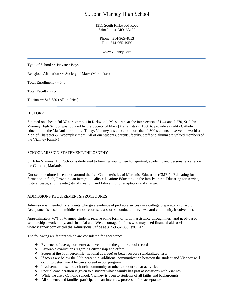## St. John Vianney High School

1311 South Kirkwood Road Saint Louis, MO 63122

Phone: 314-965-4853 Fax: 314-965-1950

www.vianney.com

Type of School ~~ Private / Boys

Religious Affiliation ~~ Society of Mary (Marianists)

Total Enrollment ~~ 540

Total Faculty ~~ 51

Tuition  $\sim$  \$16,650 (All-in Price)

#### **HISTORY**

Situated on a beautiful 37-acre campus in Kirkwood, Missouri near the intersection of I-44 and I-270, St. John Vianney High School was founded by the Society of Mary (Marianists) in 1960 to provide a quality Catholic education in the Marianist tradition. Today, Vianney has educated more than 9,300 students to serve the world as Men of Character & Accomplishment. All of our students, parents, faculty, staff and alumni are valued members of the Vianney Family!

#### SCHOOL MISSION STATEMENT/PHILOSOPHY

St. John Vianney High School is dedicated to forming young men for spiritual, academic and personal excellence in the Catholic, Marianist tradition.

Our school culture is centered around the five Characteristics of Marianist Education (CMEs): Educating for formation in faith; Providing an integral, quality education; Educating in the family spirit; Educating for service, justice, peace, and the integrity of creation; and Educating for adaptation and change.

#### ADMISSIONS REQUIREMENTS/PROCEDURES

Admission is intended for students who give evidence of probable success in a college preparatory curriculum. Acceptance is based on middle school records, test scores, conduct, interviews, and community involvement.

Approximately 70% of Vianney students receive some form of tuition assistance through merit and need-based scholarships, work study, and financial aid. We encourage families who may need financial aid to visit www.vianney.com or call the Admissions Office at 314-965-4853, ext. 142.

The following are factors which are considered for acceptance:

- ❖ Evidence of average or better achievement on the grade school records
- ❖ Favorable evaluations regarding citizenship and effort
- ❖ Scores at the 50th percentile (national average) or better on core standardized tests
- ❖ If scores are below the 50th percentile, additional communication between the student and Vianney will occur to determine if he can succeed in our program
- ❖ Involvement in school, church, community or other extracurricular activities
- ❖ Special consideration is given to a student whose family has past associations with Vianney
- ❖ While we are a Catholic school, Vianney is open to students of all faiths and backgrounds
- ❖ All students and families participate in an interview process before acceptance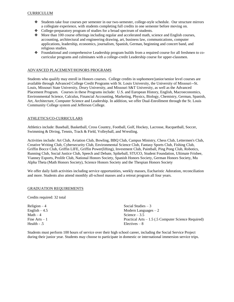- ❖ Students take four courses per semester in our two-semester, college-style schedule. Our structure mirrors a collegiate experience, with students completing full credits in one semester before moving on.
- ❖ College-preparatory program of studies for a broad spectrum of students.
- ❖ More than 100 course offerings including regular and accelerated math, science and English courses, accounting, architectural and engineering drawing, art, business law, communications, computer applications, leadership, economics, journalism, Spanish, German, beginning and concert band, and religious studies.
- ❖ Foundational and comprehensive Leadership program builds from a required course for all freshmen to cocurricular programs and culminates with a college-credit Leadership course for upper-classmen.

#### ADVANCED PLACEMENT/HONORS PROGRAMS

Students who qualify may enroll in Honors courses. College credits in sophomore/junior/senior level courses are available through Advanced College Credit Programs with St. Louis University, the University of Missouri--St. Louis, Missouri State University, Drury University, and Missouri S&T University, as well as the Advanced Placement Program. Courses in these Programs include: U.S. and European History, English, Macroeconomics, Environmental Science, Calculus, Financial Accounting, Marketing, Physics, Biology, Chemistry, German, Spanish, Art, Architecture, Computer Science and Leadership. In addition, we offer Dual-Enrollment through the St. Louis Community College system and Jefferson College.

#### ATHLETICS/CO-CURRICULARS

Athletics include: Baseball, Basketball, Cross Country, Football, Golf, Hockey, Lacrosse, Racquetball, Soccer, Swimming & Diving, Tennis, Track & Field, Volleyball, and Wrestling.

Activities include: Art Club, Aviation Club, Bowling, BBQ Club, Campus Ministry, Chess Club, Lettermen's Club, Creative Writing Club, Cybersecurity Club, Environmental Science Club, Fantasy Sports Club, Fishing Club, Griffin Bocce Club, Griffin LIFE, Griffin Power(lifting), Investment Club, Paintball, Ping Pong Club, Robotics, Running Club, Social Justice Club, Speech and Debate, Spikeball, STUCO, Student Foundation, Ultimate Frisbee, Vianney Esports, Prolife Club, National Honors Society, Spanish Honors Society, German Honors Society, Mu Alpha Theta (Math Honors Society), Science Honors Society and the Thespian Honors Society

We offer daily faith activities including service opportunities, weekly masses, Eucharistic Adoration, reconciliation and more. Students also attend monthly all-school masses and a retreat program all four years.

#### GRADUATION REQUIREMENTS

Credits required: 32 total

| $Religion - 4$  | Social Studies $-3$                                  |
|-----------------|------------------------------------------------------|
| English $-4.5$  | Modern Languages $-2$                                |
| Math $-4$       | Science $-3.5$                                       |
| Fine $Arts - 1$ | Practical Arts $-1.5$ (.5 Computer Science Required) |
| Health $-0.5$   | $Electives - 8$                                      |

Students must perform 100 hours of service over their high school career, including the Social Service Project during their junior year. Students may choose to participate in domestic or international immersion service trips.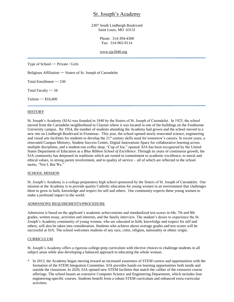## St. Joseph's Academy

2307 South Lindbergh Boulevard Saint Louis, MO 63131

> Phone: 314-394-4300 Fax: 314-965-9114

#### [www.sja1840.org](http://www.sja1840.org/)

Type of School ~~ Private / Girls

Religious Affiliation ~~ Sisters of St. Joseph of Carondelet

Total Enrollment ~~ 530

Total Faculty ~~ 56

Tuition  $\sim$  \$16,600

#### **HISTORY**

St. Joseph's Academy (SJA) was founded in 1840 by the Sisters of St. Joseph of Carondelet. In 1925, the school moved from the Carondelet neighborhood to Clayton where it was located in one of the buildings on the Fontbonne University campus. By 1954, the number of students attending the Academy had grown and the school moved to a new site on Lindbergh Boulevard in Frontenac. This year, the school opened newly renovated science, engineering and visual arts facilities for students to develop the  $21<sup>st</sup>$  century skills need for tomorrow's careers. In recent years, a renovated Campus Ministry, Student Success Center, Digital Innovations Space for collaborative learning across multiple disciplines, and a student-run coffee shop, "Cup of Joe," opened. SJA has been recognized by the United States Department of Education as a *Blue Ribbon School of Excellence*. Through its years of continuous growth, the SJA community has deepened its traditions which are rooted in commitment to academic excellence, to moral and ethical values, to strong parent involvement, and to quality of service – all of which are reflected in the school motto, "Not I, But We."

#### SCHOOL MISSION

St. Joseph's Academy is a college preparatory high school sponsored by the Sisters of St. Joseph of Carondelet. Our mission at the Academy is to provide quality Catholic education for young women in an environment that challenges them to grow in faith, knowledge and respect for self and others. Our community expects these young women to make a profound impact in the world.

#### ADMISSIONS REQUIREMENTS/PROCEDURE

Admission is based on the applicant's academic achievements and standardized test scores in 6th, 7th and 8th grades, written essay, activities and interests, and the family interview. The student's desire to experience the St. Joseph's Academy community of young women, who are educated in faith, knowledge and respect for self and others, will also be taken into consideration. Students who achieve above average grades and test scores will be successful at SJA. The school welcomes students of any race, color, religion, nationality or ethnic origin.

#### **CURRICULUM**

St. Joseph's Academy offers a rigorous college-prep curriculum with elective choices to challenge students in all subject areas while also developing a balanced approach to educating the whole woman.

\* In 2013, the Academy began moving toward an increased awareness of STEM careers and opportunities with the formation of the STEM Integration Committee. SJA provides hands-on learning opportunities both inside and outside the classroom. In 2020, SJA opened new STEM facilities that match the caliber of the extensive course offerings. The school boasts an extensive Computer Science and Engineering Department, which includes four engineering-specific courses. Students benefit from a robust STEM curriculum and enhanced extra-curricular activities.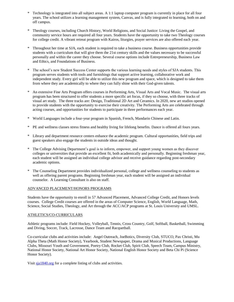- \* Technology is integrated into all subject areas. A 1:1 laptop computer program is currently in place for all four years. The school utilizes a learning management system, Canvas, and is fully integrated to learning, both on and off campus.
- \* Theology courses, including Church History, World Religions, and Social Justice: Living the Gospel, and community service hours are required all four years. Students have the opportunity to take two Theology courses for college credit. A vibrant retreat program with Kairos, liturgies, prayer services are also offered each year.
- \* Throughout her time at SJA, each student is required to take a business course. Business opportunities provide students with a curriculum that will give them the 21st century skills and the values necessary to be successful personally and within the career they choose. Several course options include Entrepreneurship, Business Law and Ethics, and Foundations of Business.
- The school's new Student Success Center supports the various learning needs and styles of SJA students. This program serves students with tools and furnishings that support active learning, collaborative work and independent study. Every girl will be able to utilize this new program and space, which is designed to take them from where they are academically to where they can fully shine with their God-given talents.
- \* An extensive Fine Arts Program offers courses in Performing Arts, Visual Arts and Vocal Music. The visual arts program has been structured to offer students a more specific art focus, if they so choose, with three tracks of visual art study. The three tracks are: Design, Traditional 2D Art and Ceramics. In 2020, new art studios opened to provide students with the opportunity to exercise their creativity. The Performing Arts are celebrated through acting courses, and opportunities for students to participate in three performances each year.
- \* World Languages include a four-year program in Spanish, French, Mandarin Chinese and Latin.
- \* PE and wellness classes stress fitness and healthy living for lifelong benefits. Dance is offered all fours years.
- \* Library and department resource centers enhance the academic program. Cultural opportunities, field trips and guest speakers also engage the students in outside ideas and thought.
- \* The College Advising Department's goal is to inform, empower, and support young women as they discover colleges or universities that provide an excellent fit, both academically and personally. Beginning freshman year, each student will be assigned an individual college advisor and receive guidance regarding post-secondary academic options.
- \* The Counseling Department provides individualized personal, college and wellness counseling to students as well as offering parent programs. Beginning freshman year, each student will be assigned an individual counselor. A Learning Consultant is also on staff.

#### ADVANCED PLACEMENT/HONORS PROGRAMS

Students have the opportunity to enroll in 57 Advanced Placement, Advanced College Credit, and Honors levels courses. College Credit courses are offered in the areas of Computer Science, English, World Language, Math, Science, Social Studies, Theology, and Art through the ACC/ACP programs at St. Louis University and UMSL.

#### ATHLETICS/CO-CURRICULARS

Athletic programs include: Field Hockey, Volleyball, Tennis, Cross Country, Golf, Softball, Basketball, Swimming and Diving, Soccer, Track, Lacrosse, Dance Team and Racquetball.

Co-curricular clubs and activities include: Angel Outreach, JoeBotics, Diversity Club, STUCO, Pax Christi, Mu Alpha Theta (Math Honor Society), Yearbook, Student Newspaper, Drama and Musical Productions, Language Clubs, Missouri Youth and Government, Poetry Club, Rocket Club, Spirit Club, Speech Team, Campus Ministry, National Honor Society, National Art Honor Society, National English Honor Society and Beta Chi Pi (Science Honor Society).

Visit<sja1840.org> for a complete listing of clubs and activities.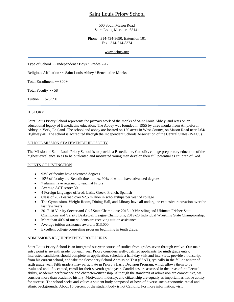## Saint Louis Priory School

#### 500 South Mason Road Saint Louis, Missouri 63141

#### Phone: 314-434-3690, Extension 101 Fax: 314-514-8374

#### [www.priory.org](http://www.priory.org/)

Type of School ~~ Independent / Boys / Grades 7-12

Religious Affiliation ~~ Saint Louis Abbey / Benedictine Monks

Total Enrollment ~~ 300+

Total Faculty  $\sim$  58

Tuition  $\sim$  \$25,990

#### **HISTORY**

Saint Louis Priory School represents the primary work of the monks of Saint Louis Abbey, and rests on an educational legacy of Benedictine education. The Abbey was founded in 1955 by three monks from Ampleforth Abbey in York, England. The school and abbey are located on 150 acres in West County, on Mason Road near I-64/ Highway 40. The school is accredited through the Independent Schools Association of the Central States (ISACS).

#### SCHOOL MISSION STATEMENT/PHILOSOPHY

The Mission of Saint Louis Priory School is to provide a Benedictine, Catholic, college preparatory education of the highest excellence so as to help talented and motivated young men develop their full potential as children of God.

#### POINTS OF DISTINCTION

- 93% of faculty have advanced degrees
- 10% of faculty are Benedictine monks, 90% of whom have advanced degrees
- 7 alumni have returned to teach at Priory
- Average ACT score: 30
- 4 Foreign languages offered: Latin, Greek, French, Spanish
- Class of 2021 earned over \$2.5 million in scholarships per year of college
- The Gymnasium, Weight Room, Dining Hall, and Library have all undergone extensive renovation over the last few years
- 2017-18 Varsity Soccer and Golf State Champions; 2018-19 Wrestling and Ultimate Frisbee State Champions and Varsity Basketball League Champions, 2019-20 Individual Wrestling State Championship.
- More than 40% of our students are receiving tuition assistance
- Average tuition assistance award is \$13,000
- Excellent college counseling program beginning in tenth grade.

#### ADMISSIONS REQUIREMENTS/PROCEDURES

Saint Louis Priory School is an integrated six-year course of studies from grades seven through twelve. Our main entry point is seventh grade, but each year Priory considers well-qualified applicants for ninth grade entry. Interested candidates should complete an application, schedule a half-day visit and interview, provide a transcript from his current school, and take the Secondary School Admission Test (SSAT), typically in the fall or winter of sixth grade year. Fifth graders may participate in Priory's Early Decision Program, which allows them to be evaluated and, if accepted, enroll for their seventh grade year. Candidates are assessed in the areas of intellectual ability, academic performance and character/citizenship. Although the standards of admission are competitive, we consider more than academic history. Motivation, industry, and citizenship are equally as important as native ability for success. The school seeks and values a student body composed of boys of diverse socio-economic, racial and ethnic backgrounds. About 15 percent of the student body is not Catholic. For more information, visit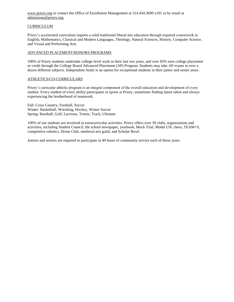[www.priory.org](http://www.priory.org/) or contact the Office of Enrollment Management at 314.434.3690 x101 or by email at [admissions@priory.org.](mailto:admissions@priory.org)

#### **CURRICULUM**

Priory's accelerated curriculum imparts a solid traditional liberal arts education through required coursework in English, Mathematics, Classical and Modern Languages, Theology, Natural Sciences, History, Computer Science, and Visual and Performing Arts.

#### ADVANCED PLACEMENT/HONORS PROGRAMS

100% of Priory students undertake college-level work in their last two years, and over 83% earn college placement or credit through the College Board Advanced Placement (AP) Program. Students may take AP exams in over a dozen different subjects. Independent Study is an option for exceptional students in their junior and senior years.

#### ATHLETICS/CO-CURRICULARS

Priory's curricular athletic program is an integral component of the overall education and development of every student. Every student of every ability participates in sports at Priory, sometimes finding latent talent and always experiencing the brotherhood of teamwork.

Fall: Cross Country, Football, Soccer Winter: Basketball, Wrestling, Hockey, Winter Soccer Spring: Baseball, Golf, Lacrosse, Tennis, Track, Ultimate

100% of our students are involved in extracurricular activities. Priory offers over 30 clubs, organizations and activities, including Student Council, the school newspaper, yearbook, Mock Trial, Model UN, chess, TEAM+S, competitive robotics, Drone Club, medieval arts guild, and Scholar Bowl.

Juniors and seniors are required to participate in 40 hours of community service each of those years.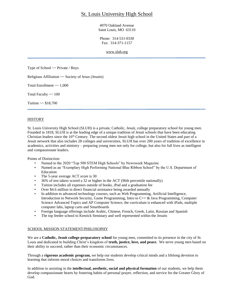## St. Louis University High School

4970 Oakland Avenue Saint Louis, MO 63110

Phone: 314-531-0330 Fax: 314-371-1157

[www.sluh.org](http://www.sluh.org/)

Type of School ~~ Private / Boys

Religious Affiliation ~~ Society of Jesus (Jesuits)

Total Enrollment  $\sim 1,000$ 

Total Faculty ~~ 100

Tuition  $\sim$  \$18,700

#### **HISTORY**

St. Louis University High School (SLUH) is a private, Catholic, Jesuit, college preparatory school for young men. Founded in 1818, SLUH is at the leading edge of a unique tradition of Jesuit schools that have been educating Christian leaders since the 16<sup>th</sup> Century. The second oldest Jesuit high school in the United States and part of a Jesuit network that also includes 28 colleges and universities, SLUH has over 200 years of tradition of excellence in academics, activities and ministry – preparing young men not only for college, but also for full lives as intelligent and compassionate leaders.

Points of Distinction:

- Named to the 2020 "Top 500 STEM High Schools" by Newsweek Magazine
- Named as an "Exemplary High Performing National Blue Ribbon School" by the U.S. Department of Education
- The 5-year average ACT score is 30
- 36% of test takers scored a 32 or higher in the ACT (96th percentile nationally)
- Tuition includes all expenses outside of books, iPad and a graduation fee
- Over \$4.6 million in direct financial assistance being awarded annually
- In addition to advanced technology courses, such as Web Programming, Artificial Intelligence, Introduction to Network Security, Game Programming, Intro to C++ & Java Programming, Computer Science Advanced Topics and AP Computer Science, the curriculum is enhanced with iPads, multiple computer labs, laptop carts and Smartboards
- Foreign language offerings include Arabic, Chinese, French, Greek, Latin, Russian and Spanish
- The top feeder school to Kenrick Seminary and well represented within the Jesuits

#### SCHOOL MISSION STATEMENT/PHILOSOPHY

We are a **Catholic, Jesuit college-preparatory school** for young men, committed to its presence in the city of St. Louis and dedicated to building Christ's kingdom of **truth, justice, love, and peace.** We serve young men based on their ability to succeed, rather than their economic circumstances.

Through a **rigorous academic program,** we help our students develop critical minds and a lifelong devotion to learning that informs moral choices and transforms lives.

In addition to assisting in the **intellectual, aesthetic, social and physical formation** of our students, we help them develop compassionate hearts by fostering habits of personal prayer, reflection, and service for the Greater Glory of God.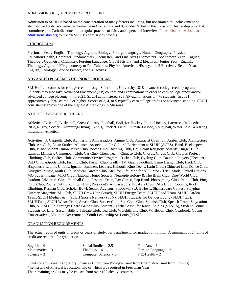#### ADMISSIONS REQUIREMENTS/PROCEDURE

Admission to SLUH is based on the consideration of many factors including, but not limited to: achievement on standardized tests, academic performance in Grades 6, 7 and 8, conduct/effort in the classroom, leadership potential, commitment to Catholic education, regular practice of faith, and a personal interview. Please visit our website at [admissions.sluh.org](http://admissions.sluh.org/) to review SLUH's admissions process.

#### **CURRICULUM**

Freshman Year: English, Theology, Algebra, Biology, Foreign Language, Human Geography, Physical Education/Health, Computer Fundamentals (1 semester), and Fine Arts (1 semester). Sophomore Year: English, Theology, Geometry, Chemistry, Foreign Language, Global History, and 2 Electives. Junior Year: English, Theology, Algebra II/Trigonometry or Pre-Calculus, Physics, American History, and 3 Electives. Senior Year: English, Theology, Service Project, and 5 Electives.

#### ADVANCED PLACEMENT/HONORS PROGRAMS

SLUH offers courses for college credit through Saint Louis University 1818 advanced college credit program. Students may also take Advanced Placement (AP) courses and examinations in order to earn college credit and/or advanced college placement. In 2021, SLUH administered 923 AP examinations to 476 students. In 2021, approximately 79% scored 3 or higher. Scores of 3, 4, or 5 typically earn college credits or advanced standing. SLUH consistently enjoys one of the highest AP rankings in Missouri.

#### ATHLETICS/CO-CURRICULARS

Athletics: Baseball, Basketball, Cross Country, Football, Golf, Ice Hockey, Inline Hockey, Lacrosse, Racquetball, Rifle, Rugby, Soccer, Swimming/Diving, Tennis, Track & Field, Ultimate Frisbee, Volleyball, Water Polo, Wrestling, Intramural Athletics.

Activities: A Cappella Club, Admissions Ambassadors, Anime Club, Antiracist Coalition, Arabic Club, Architecture Club, Art Club, Asian Student Alliance, Association for Cultural Enrichment at SLUH (ACES), Band, Beekeepers Club, Black Student Union, Blues Club, Bocce Club, Bowling Club, Boy Scout Religious Awards, Burger Club, Campus Ministry, Cannonball Club, Car Club, Chess Team, Chinese Club, Chorus, Circus Club, Clavius Project, Climbing Club, Coffee Club, Community Service Program, Cricket Club, Cycling Club, Dauphin Players (Theater), DnD Club, eSports Club, Fishing Club, French Club, Gadfly TV, Gaelic Football, Game Design Club, Hack Club, Hispanos y Latinos Unidos, Ignatian Business Leaders, Kahoot!, Kino Teens, Latin Club, (Chinese) Lion Dance Club, Liturgical Music, Math Club, Medical Careers Club, Men for Life, Men for STL, Mock Trial, Model United Nations, MO Supermileage, MTG Club, National Honor Society, Neurophysiology & The Brain Club, One-World Club, Outdoor Adventure Club, Paintball Club, Pastoral Team, Pax Christi, Pep Band, Photography Club, Piano Club, Ping Pong Club, Poetry Out Loud, Prep News, President's Ambassadors, Pro-Life Club, Rifle Club, Robotics, Rock Climbing, Russian Club, Scholar Bowl, Senior Advisors, Shadow@SLUH Hosts, Shakespeare Contest, Sisyphus Literary Magazine, Ski Club, SLUH Crew (Pep Squad), SLUH Energy Team, SLUH Food Team, SLUH Garden Team, SLUH Media Team, SLUH Sports Network (SSN), SLUH Students for Gender Equity (SLUH4GE), SLUHTube, SLUH Waste Team, Smash Club, Soccer Club, Sno Cone Club, Spanish Club, Speech Team, Staycation Club, STEM Club, Strategy Board Game Club, Student-Teacher Assn. for Racial Studies (STARS), Student Council, Students for Life, Sustainability, Tailgate Club, Tea Club, Weightlifting Club, Wiffleball Club, Yearbook, Young Conservatives, Youth in Government, Youth Leadership St. Louis (YLSL)

#### GRADUATION REQUIREMENTS

The actual required units of credit or years of study, per department, for graduation follow. A minimum of 24 units of credit are required for graduation.

| English $-4$     | Social Studies $-2.5$ | Fine $Arts - 1$       |
|------------------|-----------------------|-----------------------|
| Mathematics $-3$ | $Theology-4$          | Foreign Language $-2$ |
| Science $-3$     | Computer Science - .5 | $P.E./Health - 2$     |

3 units of a full-year Laboratory Science (1 unit from Biology/1 unit from Chemistry/1 unit from Physics) 4 semesters of Physical Education, two of which are required in Freshman Year The remaining credits may be chosen from over 100 elective courses.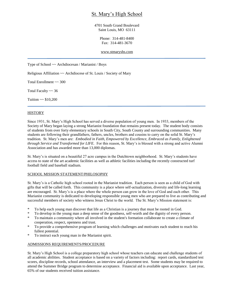## St. Mary's High School

4701 South Grand Boulevard Saint Louis, MO 63111

> Phone: 314-481-8400 Fax: 314-481-3670

[www.stmaryshs.com](http://www.stmaryshs.com/)

Type of School ~~ Archdiocesan / Marianist / Boys

Religious Affiliation ~~ Archdiocese of St. Louis / Society of Mary

Total Enrollment ~~ 300

Total Faculty ~~ 36

Tuition  $\sim$  \$10,200

#### **HISTORY**

Since 1931, St. Mary's High School has served a diverse population of young men. In 1933, members of the Society of Mary began laying a strong Marianist foundation that remains present today. The student body consists of students from over forty elementary schools in South City, South County and surrounding communities. Many students are following their grandfathers, fathers, uncles, brothers and cousins to carry on the solid St. Mary's tradition. St. Mary's men are: *Embodied in Faith, Empowered by Excellence, Embraced as Family, Enlightened through Service and Transformed for LIFE.* For this reason, St. Mary's is blessed with a strong and active Alumni Association and has awarded more than 13,000 diplomas.

St. Mary's is situated on a beautiful 27 acre campus in the Dutchtown neighborhood. St. Mary's students have access to state of the art academic facilities as well as athletic facilities including the recently constructed turf football field and baseball stadium.

#### SCHOOL MISSION STATEMENT/PHILOSOPHY

St. Mary's is a Catholic high school rooted in the Marianist tradition. Each person is seen as a child of God with gifts that will be called forth. This community is a place where self-actualization, diversity and life-long learning are encouraged. St. Mary's is a place where the whole person can grow in the love of God and each other. This Marianist community is dedicated to developing responsible young men who are prepared to live as contributing and successful members of society who witness Jesus Christ to the world. The St. Mary's Mission statement is:

- To help each young man discover that life as a Christian is a journey that must be rooted in God.
- \* To develop in the young man a deep sense of the goodness, self-worth and the dignity of every person.
- \* To maintain a community where all involved in the student's formation collaborate to create a climate of cooperation, respect, openness and trust.
- \* To provide a comprehensive program of learning which challenges and motivates each student to reach his fullest potential.
- \* To instruct each young man in the Marianist spirit.

#### ADMISSIONS REQUIREMENTS/PROCEDURE

St. Mary's High School is a college preparatory high school whose teachers can educate and challenge students of all academic abilities. Student acceptance is based on a variety of factors including: report cards, standardized test scores, discipline records, school attendance, an interview and a placement test. Some students may be required to attend the Summer Bridge program to determine acceptance. Financial aid is available upon acceptance. Last year, 65% of our students received tuition assistance.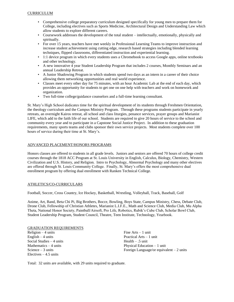- Comprehensive college preparatory curriculum designed specifically for young men to prepare them for College, including electives such as Sports Medicine, Architectural Design and Understanding Law which allow students to explore different careers.
- Coursework addresses the development of the total student intellectually, emotionally, physically and spiritually.
- For over 15 years, teachers have met weekly in Professional Learning Teams to improve instruction and increase student achievement using cutting edge, research based strategies including blended learning techniques, flipped classrooms, differentiated instruction and experiential learning.
- 1:1 device program in which every students uses a Chromebook to access Google apps, online textbooks and other technology.
- A new innovative 4 year Student Leadership Program that includes 2 courses, Monthly Seminars and an annual Leadership Retreat.
- A Junior Shadowing Program in which students spend two days as an intern in a career of their choice allowing them networking opportunities and real world experience.
- Classes meet every other day for 75 minutes, with an hour Academic Lab at the end of each day, which provides an opportunity for students to get one on one help with teachers and work on homework and organization.
- Two full-time college/guidance counselors and a full-time learning consultant.

St. Mary's High School dedicates time for the spiritual development of its students through Freshmen Orientation, the theology curriculum and the Campus Ministry Program. Through these programs students participate in yearly retreats, an overnight Kairos retreat, all school and class liturgies, penance services, prayer groups and Marianist LIFE, which add to the faith life of our school. Students are required to give 20 hours of service to the school and community every year and to participate in a Capstone Social Justice Project. In addition to these graduation requirements, many sports teams and clubs sponsor their own service projects. Most students complete over 100 hours of service during their time at St. Mary's.

#### ADVANCED PLACEMENT/HONORS PROGRAMS

Honors classes are offered to students in all grade levels. Juniors and seniors are offered 70 hours of college credit courses through the 1818 ACC Program at St. Louis University in English, Calculus, Biology, Chemistry, Western Civilization and U.S. History, and Religion. Intro to Psychology, Abnormal Psychology and many other electives are offered through St. Louis Community College. Finally, St. Mary's offers the most comprehensive dual enrollment program by offering dual enrollment with Ranken Technical College.

#### ATHLETICS/CO-CURRICULARS

Football, Soccer, Cross Country, Ice Hockey, Basketball, Wrestling, Volleyball, Track, Baseball, Golf

Anime, Art, Band, Beta Chi Pi, Big Brothers, Bocce, Bowling, Boys State, Campus Ministry, Chess, Debate Club, Drone Club, Fellowship of Christian Athletes, Marianist L.I.F.E., Math and Science Club, Media Club, Mu Alpha Theta, National Honor Society, Paintball/Airsoft, Pro Life, Robotics, Rubik's Cube Club, Scholar Bowl Club, Student Leadership Program, Student Council, Theatre, Teen Institute, Technology, Yearbook.

GRADUATION REQUIREMENTS Religion – 4 units Fine Arts – 1 unit English – 4 units Practical Arts – 1 unit Social Studies – 4 units Health – .5 unit Mathematics – 4 units Physical Education – 1 unit Electives  $-4.5$  units

Science – 3 units Foreign Language/or equivalent – 2 units

Total: 32 units are available, with 29 units required to graduate.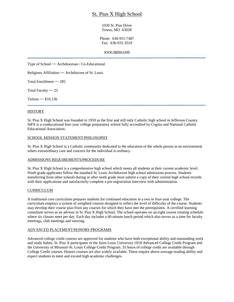## St. Pius X High School

1030 St. Pius Drive Festus, MO 63028

Phone: 636-931-7487 Fax: 636-931-3519

[www.stpius.com](http://www.stpius.com/)

Type of School ~~ Archdiocesan / Co-Educational

Religious Affiliation ~~ Archdiocese of St. Louis

Total Enrollment ~~ 285

Total Faculty  $\sim 25$ 

Tuition  $\sim$  \$10,136

#### **HISTORY**

St. Pius X High School was founded in 1959 as the first and still only Catholic high school in Jefferson County. StPX is a coeducational four-year college preparatory school fully accredited by Cognia and National Catholic Educational Association.

#### SCHOOL MISSION STATEMENT/PHILOSOPHY

St. Pius X High School is a Catholic community dedicated to the education of the whole person in an environment where extraordinary care and concern for the individual is ordinary.

#### ADMISSIONS REQUIREMENTS/PROCEDURE

St. Pius X High School is a comprehensive high school which meets all students at their current academic level. Ninth grade applicants follow the standard St. Louis Archdiocese high school admissions process. Students transferring from other schools during or after ninth grade must submit a copy of their current high school records with their applications and satisfactorily complete a pre-registration interview with administration.

#### CURRICULUM

A traditional core curriculum prepares students for continued education in a two or four-year college. The curriculum employs a system of weighted courses designed to reflect the level of difficulty of the course. Students may develop their course plan from any courses for which they have met the prerequisites. A certified learning consultant serves as an advisor to St. Pius X High School. The school operates on an eight course rotating schedule where six classes meet per day. Each day includes a 60 minute lunch period which also serves as a time for faculty meetings, club meetings and tutoring.

#### ADVANCED PLACEMENT/HONORS PROGRAMS

Advanced college credit courses are approved for students who have both exceptional ability and outstanding work and study habits. St. Pius X participates in the Saint Louis University 1818 Advanced College Credit Program and the University of Missouri-St. Louis College Credit Program. 35 hours of college credit are available through College Credit courses. Honors courses are also widely available. These require above-average reading ability and expect students to meet and exceed high academic challenges.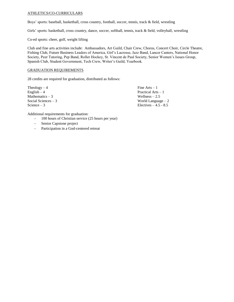#### ATHLETICS/CO-CURRICULARS

Boys' sports: baseball, basketball, cross country, football, soccer, tennis, track & field, wrestling

Girls' sports: basketball, cross country, dance, soccer, softball, tennis, track & field, volleyball, wrestling

Co-ed sports: cheer, golf, weight lifting

Club and fine arts activities include: Ambassadors, Art Guild, Chair Crew, Chorus, Concert Choir, Circle Theatre, Fishing Club, Future Business Leaders of America, Girl's Lacrosse, Jazz Band, Lancer Canters, National Honor Society, Peer Tutoring, Pep Band, Roller Hockey, St. Vincent de Paul Society, Senior Women's Issues Group, Spanish Club, Student Government, Tech Crew, Writer's Guild, Yearbook.

#### GRADUATION REQUIREMENTS

28 credits are required for graduation, distributed as follows:

 $Theology - 4$  Fine Arts – 1  $English - 4$  Practical Arts – 1 Mathematics – 3 Wellness – 2.5 Wellness – 2.5 Wellness – 2.5 World Language

World Language  $-2$ Science  $-3$  Electives  $-4.5 - 8.5$ 

Additional requirements for graduation:

- 100 hours of Christian service (25 hours per year)
- Senior Capstone project
- Participation in a God-centered retreat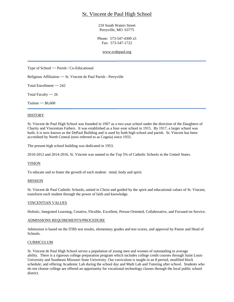## St. Vincent de Paul High School

210 South Waters Street Perryville, MO 63775

Phone: 573-547-4300 x5 Fax: 573-547-1722

[www.svdepaul.org](http://www.svdepaul.org/)

Type of School ~~ Parish / Co-Educational

Religious Affiliation ~~ St. Vincent de Paul Parish - Perryville

Total Enrollment ~~ 242

Total Faculty ~~ 26

Tuition  $\sim$  \$6,600

#### **HISTORY**

St. Vincent de Paul High School was founded in 1907 as a two-year school under the direction of the Daughters of Charity and Vincentian Fathers. It was established as a four-year school in 1915. By 1917, a larger school was built; it is now known as the DePaul Building and is used by both high school and parish. St. Vincent has been accredited by North Central (now referred to as Cognia) since 1933.

The present high school building was dedicated in 1953.

2010-2012 and 2014-2016, St. Vincent was named to the Top 5% of Catholic Schools in the United States.

#### VISION

To educate and to foster the growth of each student: mind, body and spirit.

#### MISSION

St. Vincent de Paul Catholic Schools, united in Christ and guided by the spirit and educational values of St. Vincent, transform each student through the power of faith and knowledge.

#### VINCENTIAN VALUES

Holistic, Integrated Learning, Creative, Flexible, Excellent, Person Oriented, Collaborative, and Focused on Service.

#### ADMISSIONS REQUIREMENTS/PROCEDURE

Admission is based on the ITBS test results, elementary grades and test scores, and approval by Pastor and Head of Schools.

#### CURRICULUM

St. Vincent de Paul High School serves a population of young men and women of outstanding to average ability. There is a rigorous college preparation program which includes college credit courses through Saint Louis University and Southeast Missouri State University. Our curriculum is taught in an 8-period, modified block schedule; and offering Academic Lab during the school day and Math Lab and Tutoring after school. Students who do not choose college are offered an opportunity for vocational-technology classes through the local public school district.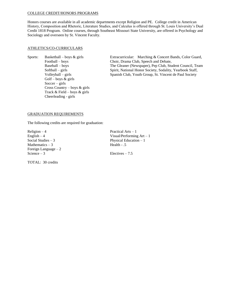#### COLLEGE CREDIT/HONORS PROGRAMS

Honors courses are available in all academic departments except Religion and PE. College credit in American History, Composition and Rhetoric, Literature Studies, and Calculus is offered through St. Louis University's Dual Credit 1818 Program. Online courses, through Southeast Missouri State University, are offered in Psychology and Sociology and overseen by St. Vincent Faculty.

#### ATHLETICS/CO-CURRICULARS

Golf – boys  $&$  girls  $Soccer - girls$ Cross Country – boys & girls Track & Field – boys & girls Cheerleading - girls

Sports: Basketball – boys & girls Extracurricular: Marching & Concert Bands, Color Guard, Football – boys Choir, Drama Club, Speech and Debate, Baseball – boys The Gleaner (Newspaper), Pep Club, Student Council, Team Softball – girls Spirit, National Honor Society, Sodality, Yearbook Staff, Volleyball – girls Spanish Club, Youth Group, St. Vincent de Paul Society

#### GRADUATION REQUIREMENTS

The following credits are required for graduation:

 $Religion - 4$  Practical Arts – 1 Mathematics  $-3$ Foreign Language – 2 Science – 3 Electives – 7.5

TOTAL: 30 credits

English – 4 Visual/Performing Art – 1 Social Studies – 3 Physical Education – 1<br>Mathematics – 3 Health - .5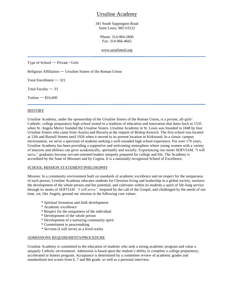## Ursuline Academy

341 South Sappington Road Saint Louis, MO 63122

> Phone: 314-984-2800 Fax: 314-966-4662

#### [www.ursulinestl.org](http://www.ursulinestl.org/)

Type of School ~~ Private / Girls

Religious Affiliation ~~ Ursuline Sisters of the Roman Union

Total Enrollment ~~ 321

Total Faculty ~~ 33

Tuition  $\sim$  \$16,600

#### **HISTORY**

Ursuline Academy, under the sponsorship of the Ursuline Sisters of the Roman Union, is a private, all-girls' Catholic, college preparatory high school rooted in a tradition of education and innovation that dates back to 1535 when St. Angela Merici founded the Ursuline Sisters. Ursuline Academy in St. Louis was founded in 1848 by four Ursuline Sisters who came from Austria and Bavaria at the request of Bishop Kenrick. The first school was located at 12th and Russell Streets until 1926 when it moved to its present location in Kirkwood. In a classic campus environment, we serve a spectrum of students seeking a well-rounded high school experience. For over 170 years, Ursuline Academy has been providing a supportive and welcoming atmosphere where young women with a variety of interests and abilities can grow academically, spiritually and socially. Experiencing our motto SERVIAM, "I will serve," graduates become servant-oriented leaders uniquely prepared for college and life. The Academy is accredited by the State of Missouri and by Cognia. It is a nationally recognized School of Excellence.

#### SCHOOL MISSION STATEMENT/PHILOSOPHY

Mission: In a community environment built on standards of academic excellence and on respect for the uniqueness of each person, Ursuline Academy educates students for Christian living and leadership in a global society, nurtures the development of the whole person and her potential, and cultivates within its students a spirit of life-long service through its motto of *SERVIAM, "I will serve".* Inspired by the call of the Gospel, and challenged by the needs of our time, we, like Angela, ground our mission in the following core values:

- \* Spiritual formation and faith development
- \* Academic excellence
- \* Respect for the uniqueness of the individual
- \* Development of the whole person
- \* Development of a nurturing community spirit
- \* Commitment to peacemaking
- \* *Serviam* (I will serve) as a lived reality

#### ADMISSIONS REQUIREMENTS/PROCEDURE

Ursuline Academy is committed to the education of students who seek a strong academic program and value a uniquely Catholic environment. Admission is based upon the student's ability to complete a college preparatory, accelerated or honors program. Acceptance is determined by a committee review of academic grades and standardized test scores from 6, 7 and 8th grade, as well as a personal interview.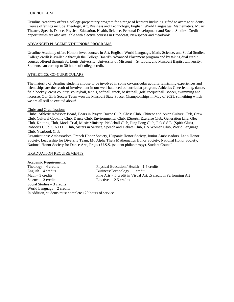#### CURRICULUM

Ursuline Academy offers a college-preparatory program for a range of learners including gifted to average students. Course offerings include Theology, Art, Business and Technology, English, World Languages, Mathematics, Music, Theatre, Speech, Dance, Physical Education, Health, Science, Personal Development and Social Studies. Credit opportunities are also available with elective courses in Broadcast, Newspaper and Yearbook.

#### ADVANCED PLACEMENT/HONORS PROGRAMS

Ursuline Academy offers Honors level courses in Art, English, World Language, Math, Science**,** and Social Studies. College credit is available through the College Board's Advanced Placement program and by taking dual credit courses offered through St. Louis University, University of Missouri – St. Louis, and Missouri Baptist University. Students can earn up to 30 hours of college credit.

#### ATHLETICS/ CO-CURRICULARS

The majority of Ursuline students choose to be involved in some co-curricular activity. Enriching experiences and friendships are the result of involvement in our well-balanced co-curricular program. Athletics Cheerleading, dance, field hockey, cross country, volleyball, tennis, softball, track, basketball, golf, racquetball, soccer, swimming and lacrosse. Our Girls Soccer Team won the Missouri State Soccer Championships in May of 2021, something which we are all still so excited about!

#### Clubs and Organizations

Clubs: Athletic Advisory Board, Bears in Prayer, Bocce Club, Chess Club, Chinese and Asian Culture Club, Crew Club, Cultural Cooking Club, Dance Club, Environmental Club, ESports, Exercise Club, Generation Life, Glee Club, Knitting Club, Mock Trial, Music Ministry, Pickleball Club, Ping Pong Club, P.O.S.S.E. (Spirit Club), Robotics Club, S.A.D.D. Club, Sisters in Service, Speech and Debate Club, UN Women Club, World Language Club, Yearbook Club

Organizations: Ambassadors, French Honor Society, Hispanic Honor Society, Junior Ambassadors, Latin Honor Society, Leadership for Diversity Team, Mu Alpha Theta Mathematics Honor Society, National Honor Society, National Honor Society for Dance Arts, Project U.S.S. (student philanthropy), Student Council

#### GRADUATION REQUIREMENTS

Academic Requirements: Theology – 4 credits Physical Education / Health – 1.5 credits English – 4 credits Business/Technology – 1 credit Math – 3 credits Fine Arts - .5 credit in Visual Art; .5 credit in Performing Art Science – 3 credits Electives – 2.5 credits Social Studies – 3 credits World Language – 2 credits In addition, students must complete 120 hours of service.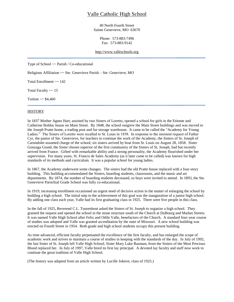## Valle Catholic High School

40 North Fourth Street Sainte Genevieve, MO 63670

> Phone: 573-883-7496 Fax: 573-883-9142

#### [http://www.valleschools.org](http://www.valleschools.org/)

Type of School ~~ Parish / Co-educational

Religious Affiliation ~~ Ste. Genevieve Parish – Ste. Genevieve, MO

Total Enrollment ~~ 142

Total Faculty  $\sim$  15

Tuition  $\sim$  \$4,460

#### **HISTORY**

In 1837 Mother Agnes Hart, assisted by two Sisters of Loretto, opened a school for girls in the Etienne and Catherine Bolduc house on Main Street. By 1848, the school outgrew the Main Street buildings and was moved to the Joseph Pratte home, a trading post and fur storage warehouse. It came to be called the "Academy for Young Ladies." The Sisters of Loretto were recalled to St. Louis in 1858. In response to the insistent request of Father Cyr, the pastor of Ste. Genevieve, for teachers to continue the work of the Academy, the Sisters of St. Joseph of Carondolet assumed charge of the school; six sisters arrived by boat from St. Louis on August 28, 1858. Sister Gonzaga Grand, the Sister chosen superior of the first community of the Sisters of St. Joseph, had but recently arrived from France. Gifted with remarkable ability and a strong personality, the Academy flourished under her supervision. For many years, St. Francis de Sales Academy (as it later came to be called) was known for high standards of its methods and curriculum. It was a popular school for young ladies.

In 1867, the Academy underwent some changes. The sisters had the old Pratte house replaced with a four-story building. This building accommodated the Sisters, boarding students, classrooms, and the music and art departments. By 1874, the number of boarding students decreased, so boys were invited to attend. In 1893, the Ste. Genevieve Parochial Grade School was fully co-educational.

In 1919, increasing enrollment occasioned an urgent need of decisive action in the matter of enlarging the school by building a high school. The initial step to the achievement of this goal was the inauguration of a junior high school. By adding one class each year, Valle had its first graduating class in 1925. There were five people in this class.

In the fall of 1925, Reverend C.L. Tourenhout asked the Sisters of St. Joseph to organize a high school. They granted the request and opened the school in the stone structure south of the Church at DuBourg and Market Streets. It was named Valle High School after Felix and Odile Valle, benefactors of the Church. A standard four-year course of studies was adopted and Valle was granted accreditation by the state of Missouri. A new school building was erected on Fourth Street in 1954. Both grade and high school students occupy this present building.

As time advanced, efficient faculty perpetuated the excellence of the first faculty, and has enlarged the scope of academic work and strives to maintain a course of studies in keeping with the standards of the day. In July of 1992, the last Sister of St. Joseph left Valle High School; Sister Mary Luke Bauman, from the Sisters of the Most Precious Blood replaced her. In July of 1997, Valle hired its first lay principal. A devoted lay faculty and staff now work to continue the great tradition of Valle High School.

(The history was adapted from an article written by Lucille Jokerst, class of 1925.)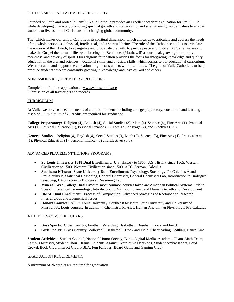#### SCHOOL MISSION STATEMENT/PHILOSOPHY

Founded on Faith and rooted in Family, Valle Catholic provides an excellent academic education for Pre  $K - 12$ while developing character, promoting spiritual growth and stewardship, and strengthening Gospel values to enable students to live as model Christians in a changing global community.

That which makes our school Catholic is its spiritual dimension, which allows us to articulate and address the needs of the whole person as a physical, intellectual, and a spiritual being. The role of the Catholic school is to articulate the mission of the Church; to evangelize and propagate the faith; to pursue peace and justice. At Valle, we seek to make the Gospel the norm of life by embracing the Beatitudes (Matthew 5) as our ideal, growing in humility, meekness, and poverty of spirit. Our religious foundation provides the focus for integrating knowledge and quality education in the arts and sciences, vocational skills, and physical skills, which comprise our educational curriculum. We understand and support the educational rights of students with disabilities. The goal of Valle Catholic is to help produce students who are constantly growing in knowledge and love of God and others.

#### ADMISSIONS REQUIREMENTS/PROCEDURE

Completion of online application a[t www.valleschools.org](http://www.valleschools.org/)  Submission of all transcripts and records

#### CURRICULUM

At Valle, we strive to meet the needs of all of our students including college preparatory, vocational and learning disabled. A minimum of 26 credits are required for graduation.

**College Preparatory:** Religion (4), English (4), Social Studies (3), Math (4), Science (4), Fine Arts (1), Practical Arts (1), Physical Education (1), Personal Finance (.5), Foreign Language (2), and Electives (2.5).

**General Studies:** Religion (4), English (4), Social Studies (3), Math (3), Science (3), Fine Arts (1), Practical Arts (1), Physical Education (1), personal finance (.5) and Electives (6.5).

#### ADVANCED PLACEMENT/HONORS PROGRAMS

- **St. Louis University 1818 Dual Enrollment:** U.S. History to 1865, U.S. History since 1865, Western Civilization to 1500, Western Civilization since 1500, ACC German, Calculus
- **Southeast Missouri State University Dual Enrollment**: Psychology, Sociology, PreCalculus A and PreCalculus B, Statistical Reasoning, General Chemistry, General Chemistry Lab, Introduction to Biological reasoning, Introduction to Biological Reasoning Lab
- **Mineral Area College Dual Credit:** most common courses taken are American Political Systems, Public Speaking, Medical Terminology, Introduction to Microcomputers, and Human Growth and Development
- **UMSL Dual Enrollment:** Process of Composition, Advanced Strategies of Rhetoric and Research, Interreligious and Ecumenical Issues
- **Honors Courses:** All St. Louis University, Southeast Missouri State University and University of Missouri St. Louis courses. In addition: Chemistry, Physics, Human Anatomy & Physiology, Pre-Calculus

#### ATHLETICS/CO-CURRICULARS

- **Boys Sports:** Cross Country, Football, Wrestling, Basketball, Baseball, Track and Field
- **Girls Sports:** Cross Country, Volleyball, Basketball, Track and Field, Cheerleading, Softball, Dance Line

**Student Activities:** Student Council, National Honor Society, Band, Digital Media, Academic Team, Math Team, Campus Ministry, Student Choir, Drama, Students Against Destructive Decisions, Student Ambassadors, Loud Crowd, Book Club, Interact Club, FBLA, Fun Fanatics (Board Game and Gaming Club)

#### GRADUATION REQUIREMENTS

A minimum of 26 credits are required for graduation.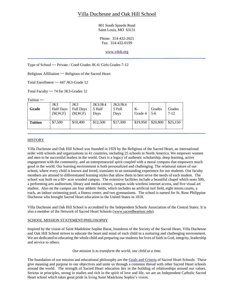## Villa Duchesne and Oak Hill School

801 South Spoede Road Saint Louis, MO 63131

Phone: 314-432-2021 Fax: 314-432-0199

[www.vdoh.org](http://www.baratacademy.org/)

Type of School ~~ Private / Coed Grades JK-6/ Girls Grades 7-12

Religious Affiliation ~~ Religious of the Sacred Heart

Total Enrollment ~~ 447 JK3-Grade 12

Total Faculty ~~ 74 for JK3-Grades 12

Tuition  $\sim$ 

| Grade   | JK3<br><b>Half Days</b><br>(M,W,F) | JK3<br><b>Full Days</b><br>(M,W,F) | JK3/JK4<br>5 Half<br>Davs | JK3/JK4<br>5 Full<br>Days | K-<br>Grade 4 | Grades<br>$5-6$ | Grades<br>$7-12$ |
|---------|------------------------------------|------------------------------------|---------------------------|---------------------------|---------------|-----------------|------------------|
| Tuition | \$7,500                            | \$10,400                           | \$12,500                  | \$17,300                  | \$19,950      | \$20,800        | \$25,150         |

#### **HISTORY**

Villa Duchesne and Oak Hill School was founded in 1929 by the Religious of the Sacred Heart, an international order with schools and organizations in 41 countries, including 25 schools in North America. We empower women and men to be successful leaders in the world. Ours is a legacy of authentic scholarship, deep learning, active engagement with the community, and an entrepreneurial spirit coupled with a moral compass that empowers much good in the world. Our learning environment is both personalized and challenging. The relational nature of our school, where every child is known and loved, translates to an outstanding experience for our students. Our faculty members are attuned to differentiated learning styles that allow them to best serve the needs of each student. The school was built on a 60+ acre wooded campus. The extensive facilities include a beautiful chapel which seats 500, a performing arts auditorium, library and media centers, campus-wide wireless internet access, and five visual art studios. Also on the campus are four athletic fields, which includes an artificial turf field, eight tennis courts, a track, an indoor swimming pool, a fitness center, and two gymnasiums. The school is named for St. Rose Philippine Duchesne who brought Sacred Heart education to the United States in 1818.

Villa Duchesne and Oak Hill School is accredited by the Independent Schools Association of the Central States. It is also a member of the Network of Sacred Heart Schools [\(www.sacredheartusc.edu\)](http://www.sacredheartusc.edu/).

#### SCHOOL MISSION STATEMENT/PHILOSOPHY

Inspired by the vision of Saint Madeleine Sophie Barat, foundress of the Society of the Sacred Heart, Villa Duchesne and Oak Hill School strives to educate the heart and mind of each child in a nurturing and challenging environment. We are dedicated to educating the whole child and preparing our students for lives of faith in God, integrity, leadership and service to others.

#### *Our mission is to transform the world, one child at a time.*

The foundation of our mission and educational philosophy are the [Goals and Criteria](https://www.vdoh.org/about-us/our-mission/goals-and-criteria) of Sacred Heart Schools. These give meaning and purpose to our objectives and unite us through a common thread with other Sacred Heart schools around the world. The strength of Sacred Heart education lies in the building of relationships around our values. Serious in principles, strong in studies and rich in the spirit of love and life, we are an Independent Catholic Sacred Heart school which takes great pride in living Saint Madeleine Sophie's vision.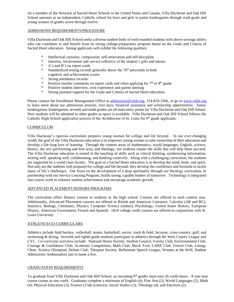As a member of the Network of Sacred Heart Schools in the United States and Canada, Villa Duchesne and Oak Hill School operates as an independent, Catholic school for boys and girls in junior kindergarten through sixth grade and young women in grades seven through twelve.

#### ADMISSIONS REQUIREMENTS/PROCEDURE

Villa Duchesne and Oak Hill School seeks a diverse student body of well-rounded students with above-average ability who can contribute to and benefit from its strong college-preparatory program based on the Goals and Criteria of Sacred Heart education. Strong applicants will exhibit the following qualities:

- \* Intellectual curiosity, compassion, self-motivation and self-discipline<br>\* Interests involvement and service reflective of the student's gifts and
- Interests, involvement and service reflective of the student's gifts and talents
- \* A's and B's on report cards
- \* Standardized testing records generally above the  $70<sup>th</sup>$  percentile in both cognitive and achievement scores
- \* Strong attendance records
- \* Positive teacher comments on report cards and when applying for  $7<sup>th</sup>$  or  $8<sup>th</sup>$  grade
- \* Positive student interview, visit experience and parent meeting
- \* Strong parental support for the Goals and Criteria of Sacred Heart education.

Please contact the Enrollment Management Office at [admissions@vdoh.org,](mailto:admissions@vdoh.org) 314-810-3566, or go to [www.vdoh.org](http://www.vdoh.org/) to learn more about our admissions process, visit days, financial assistance and scholarship opportunities. Junior kindergarten, kindergarten, seventh and ninth grades are all main entry points for Villa Duchesne and Oak Hill School. New students will be admitted to other grades as space is available. Villa Duchesne and Oak Hill School follows the Catholic High School application process of the Archdiocese of St. Louis for  $9<sup>th</sup>$  grade applicants.

#### CURRICULUM

Villa Duchesne's rigorous curriculum prepares young women for college and life beyond. In our ever-changing world, the goal of the Villa Duchesne education is to empower young women to take ownership of their education and develop a life-long love of learning. Through the content areas of mathematics, world languages, English, science, history, the arts (performing and fine arts), and theology, our students master the skills that will help them succeed. The Villa Duchesne education is rooted in the teaching of skills such as critical thinking, synthesizing information, writing well, speaking well, collaborating, and thinking creatively. Along with a challenging curriculum, the students are supported by a world class faculty. The goal of a Sacred Heart education is to develop the mind, body, and spirit. Not only are the students well prepared for college and life beyond, they develop the confidence and fortitude to tackle many of life's challenges. Our focus on the development of a deep spirituality through our theology curriculum, in partnership with our Service Learning Program, builds strong, capable leaders of tomorrow. Technology is integrated into course work to enhance student achievement and encourage academic growth.

#### ADVANCED PLACEMENT/HONORS PROGRAMS

The curriculum offers Honors courses to students in the high school. Courses are offered in each content area. Additionally, Advanced Placement courses are offered in British and American Literature, Calculus (AB and BC), Statistics, Biology, Chemistry, Physics, Computer Science (online), Psychology, United States History, European History, American Government, French and Spanish. 1818 college credit courses are offered in conjunction with St. Louis University.

#### ATHLETICS/CO-CURRICULARS

Athletics include field hockey, volleyball, tennis, basketball, soccer, track & field, lacrosse, cross-country, golf, and swimming & diving. Seventh and eighth grade students participate in athletics through the West County League and CYC. Co-curricular activities include: National Honor Society, Student Council, Varsity Club, Environmental Club, Courage & Confidence Club, Academic Competition, Math Club, Mock Trial, CARE Club, French Club, Liturgy Choir, Science Olympiad, Debate Club, Thespian Society, Bellarmine Speech League, Women at the Well, Student Admissions Ambassadors just to name a few.

#### GRADUATION REQUIREMENTS

To graduate from Villa Duchesne and Oak Hill School, an incoming 9<sup>th</sup> grader must earn 26 credit hours. A one-year course counts as one credit. Graduates complete a minimum of English (4), Fine Arts (2), World Languages (2), Math (4), Physical Education (3), Science (3 lab sciences), Social Studies (3), Theology (4), and Electives (2).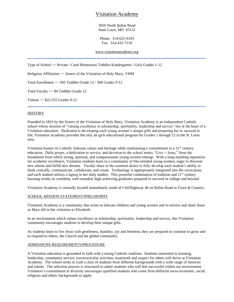## Visitation Academy

3020 North Ballas Road Saint Louis, MO 63131

Phone: 314-625-9103 Fax: 314-432-7210

[www.visitationacademy.org](http://www.visitationacademy.org/)

Type of School ~~ Private / Coed Montessori Toddler-Kindergarten / Girls Grades 1-12

Religious Affiliation ~~ Sisters of the Visitation of Holy Mary, VHM

Total Enrollment ~~ 585 Toddler-Grade 12 / 308 Grades 9-12

Total Faculty ~~ 84 Toddler-Grade 12

Tuition ~~ \$22,555 Grades 9-12

#### **HISTORY**

Founded in 1833 by the Sisters of the Visitation of Holy Mary, Visitation Academy is an independent Catholic school whose mission of "valuing excellence in scholarship, spirituality, leadership and service" lies at the heart of a Visitation education. Dedicated to developing each young woman's unique gifts and preparing her to succeed in life, Visitation Academy provides the only all-girls educational program for Grades 1 through 12 in the St. Louis area.

Visitation honors its Catholic Salesian values and heritage while maintaining a commitment to a 21<sup>st</sup> century education. Daily prayer, a dedication to service, and devotion to the school motto, "Live + Jesus," form the foundation from which strong, spiritual, and compassionate young women emerge. With a long-standing reputation for academic excellence, Visitation students learn in a community of like-minded young women, eager to discover new talents and fulfill new dreams. Faculty share in the common desire to fully develop each student's ability to think critically, communicate, collaborate, and create. Technology is appropriately integrated into the curriculum, and each student utilizes a laptop in her daily studies. This powerful combination of tradition and 21<sup>st</sup> century learning results in confident, well-rounded, high-achieving graduates prepared to succeed in college and beyond.

Visitation Academy is centrally located immediately south of I-64/Highway 40 on Ballas Road in Town & Country.

#### SCHOOL MISSION STATEMENT/PHILOSOPHY

Visitation Academy is a community that exists to educate children and young women and to receive and share Jesus as Mary did in her visitation to Elizabeth.

In an environment which values excellence in scholarship, spirituality, leadership and service, this Visitation community encourages students to develop their unique gifts.

As students learn to live Jesus with gentleness, humility, joy and freedom, they are prepared to continue to grow and to respond to others, the Church and the global community.

#### ADMISSIONS REQUIREMENTS/PROCEDURE

A Visitation education is grounded in faith with a strong Catholic tradition. Students interested in learning, leadership, community service, extracurricular activities, teamwork and respect for others will thrive at Visitation Academy. The school seeks to craft a class of students from different backgrounds with a wide range of interests and talents. The selection process is structured to admit students who will feel successful within our environment. Visitation's commitment to diversity encourages qualified students who come from different socio-economic, racial, religious and ethnic backgrounds to apply.